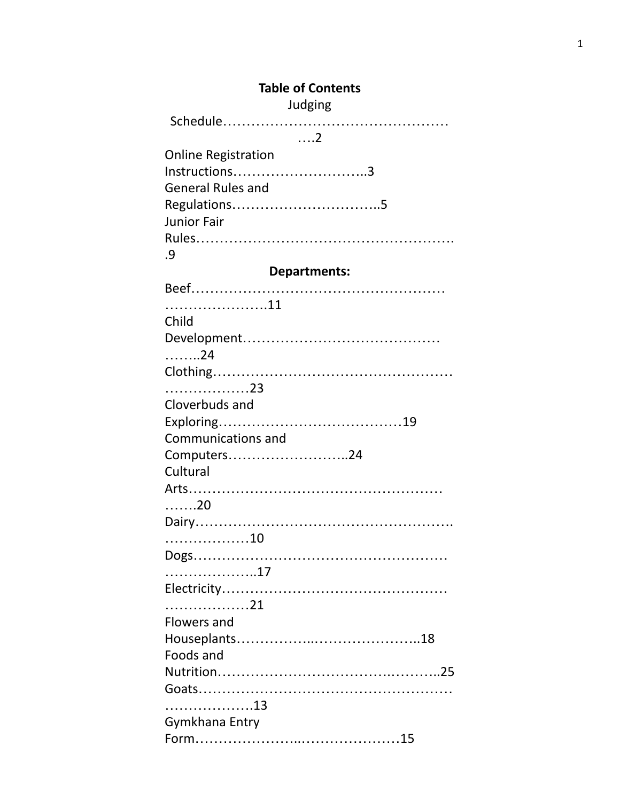# **Table of Contents**

Judging

Schedule…………………………………………

# ….2

| <b>Online Registration</b> |
|----------------------------|
| $Instructions$ 3           |
| <b>General Rules and</b>   |
|                            |
| <b>Junior Fair</b>         |
|                            |
| .9                         |

# **Departments:**

| Child              |
|--------------------|
|                    |
| . 24               |
|                    |
| . 23               |
| Cloverbuds and     |
|                    |
| Communications and |
| Computers24        |
| Cultural           |
|                    |
| . 20               |
|                    |
| 10                 |
|                    |
|                    |
|                    |
| . 21               |
| Flowers and        |
|                    |
| Foods and          |
|                    |
|                    |
|                    |
| Gymkhana Entry     |
|                    |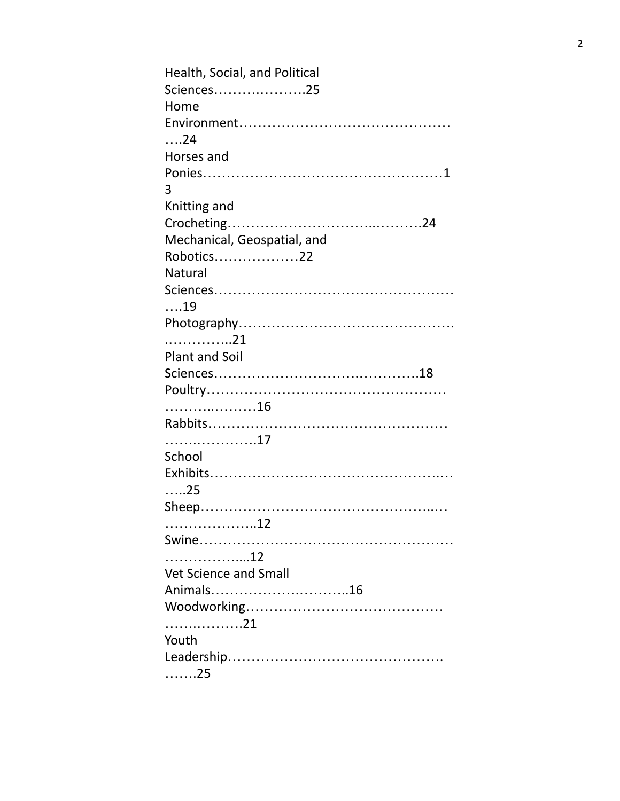| Health, Social, and Political |
|-------------------------------|
| Sciences25                    |
|                               |
| Home                          |
|                               |
| $\ldots$ .24                  |
| Horses and                    |
|                               |
| 3                             |
| Knitting and                  |
|                               |
| Mechanical, Geospatial, and   |
| Robotics22                    |
| <b>Natural</b>                |
|                               |
| $\dots$ 19                    |
|                               |
| . 21                          |
|                               |
| <b>Plant and Soil</b>         |
|                               |
|                               |
| . 16                          |
|                               |
|                               |
| School                        |
|                               |
| $\dots 25$                    |
|                               |
|                               |
|                               |
| 12                            |
| Vet Science and Small         |
| Animals16                     |
|                               |
| . 21                          |
| Youth                         |
|                               |
|                               |
| . 25                          |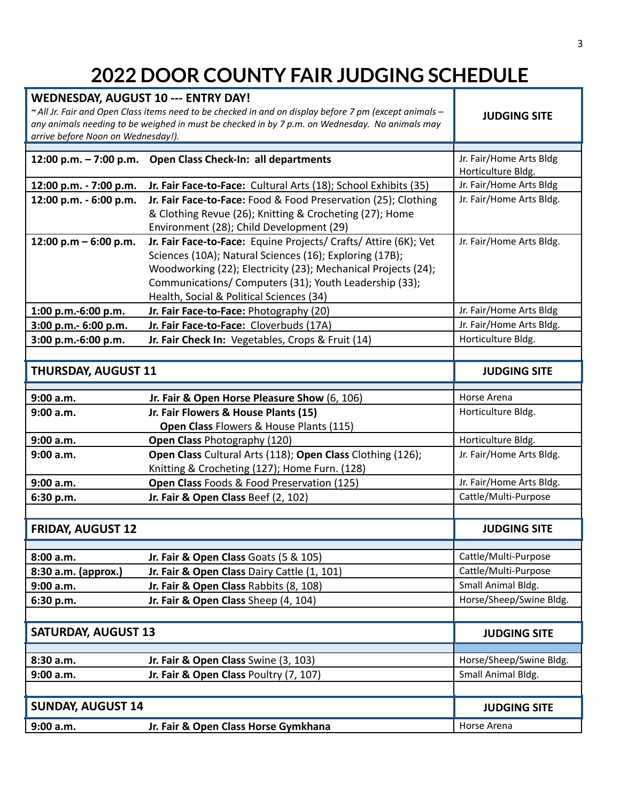# **2022 DOOR COUNTY FAIR JUDGING SCHEDULE**

| <b>WEDNESDAY, AUGUST 10 --- ENTRY DAY!</b><br>arrive before Noon on Wednesday!). | ~ All Jr. Fair and Open Class items need to be checked in and on display before 7 pm (except animals -<br>any animals needing to be weighed in must be checked in by 7 p.m. on Wednesday. No animals may                                                                                           | <b>JUDGING SITE</b>      |
|----------------------------------------------------------------------------------|----------------------------------------------------------------------------------------------------------------------------------------------------------------------------------------------------------------------------------------------------------------------------------------------------|--------------------------|
|                                                                                  | 12:00 p.m. - 7:00 p.m. Open Class Check-In: all departments                                                                                                                                                                                                                                        | Jr. Fair/Home Arts Bldg  |
|                                                                                  |                                                                                                                                                                                                                                                                                                    | Horticulture Bldg.       |
| 12:00 p.m. - 7:00 p.m.                                                           | Jr. Fair Face-to-Face: Cultural Arts (18); School Exhibits (35)                                                                                                                                                                                                                                    | Jr. Fair/Home Arts Bldg  |
| 12:00 p.m. - 6:00 p.m.                                                           | Jr. Fair Face-to-Face: Food & Food Preservation (25); Clothing<br>& Clothing Revue (26); Knitting & Crocheting (27); Home<br>Environment (28); Child Development (29)                                                                                                                              | Jr. Fair/Home Arts Bldg. |
| 12:00 p.m $-$ 6:00 p.m.                                                          | Jr. Fair Face-to-Face: Equine Projects/ Crafts/ Attire (6K); Vet<br>Sciences (10A); Natural Sciences (16); Exploring (17B);<br>Woodworking (22); Electricity (23); Mechanical Projects (24);<br>Communications/ Computers (31); Youth Leadership (33);<br>Health, Social & Political Sciences (34) | Jr. Fair/Home Arts Bldg. |
| 1:00 p.m.-6:00 p.m.                                                              | Jr. Fair Face-to-Face: Photography (20)                                                                                                                                                                                                                                                            | Jr. Fair/Home Arts Bldg  |
| 3:00 p.m.- 6:00 p.m.                                                             | Jr. Fair Face-to-Face: Cloverbuds (17A)                                                                                                                                                                                                                                                            | Jr. Fair/Home Arts Bldg. |
| 3:00 p.m.-6:00 p.m.                                                              | Jr. Fair Check In: Vegetables, Crops & Fruit (14)                                                                                                                                                                                                                                                  | Horticulture Bldg.       |
|                                                                                  |                                                                                                                                                                                                                                                                                                    |                          |
| <b>THURSDAY, AUGUST 11</b>                                                       |                                                                                                                                                                                                                                                                                                    | <b>JUDGING SITE</b>      |
| 9:00 a.m.                                                                        | Jr. Fair & Open Horse Pleasure Show (6, 106)                                                                                                                                                                                                                                                       | Horse Arena              |
| 9:00 a.m.                                                                        | Jr. Fair Flowers & House Plants (15)<br>Open Class Flowers & House Plants (115)                                                                                                                                                                                                                    | Horticulture Bldg.       |
| 9:00 a.m.                                                                        | Open Class Photography (120)                                                                                                                                                                                                                                                                       | Horticulture Bldg.       |
| 9:00 a.m.                                                                        | Open Class Cultural Arts (118); Open Class Clothing (126);                                                                                                                                                                                                                                         | Jr. Fair/Home Arts Bldg. |
|                                                                                  | Knitting & Crocheting (127); Home Furn. (128)                                                                                                                                                                                                                                                      |                          |
| 9:00 a.m.                                                                        | Open Class Foods & Food Preservation (125)                                                                                                                                                                                                                                                         | Jr. Fair/Home Arts Bldg. |
| 6:30 p.m.                                                                        | Jr. Fair & Open Class Beef (2, 102)                                                                                                                                                                                                                                                                | Cattle/Multi-Purpose     |
|                                                                                  |                                                                                                                                                                                                                                                                                                    |                          |
| <b>FRIDAY, AUGUST 12</b>                                                         |                                                                                                                                                                                                                                                                                                    | <b>JUDGING SITE</b>      |
| 8:00 a.m.                                                                        | Jr. Fair & Open Class Goats (5 & 105)                                                                                                                                                                                                                                                              | Cattle/Multi-Purpose     |
| 8:30 a.m. (approx.)                                                              | Jr. Fair & Open Class Dairy Cattle (1, 101)                                                                                                                                                                                                                                                        | Cattle/Multi-Purpose     |
| 9:00 a.m.                                                                        | Jr. Fair & Open Class Rabbits (8, 108)                                                                                                                                                                                                                                                             | Small Animal Bldg.       |
| 6:30 p.m.                                                                        | Jr. Fair & Open Class Sheep (4, 104)                                                                                                                                                                                                                                                               | Horse/Sheep/Swine Bldg.  |
|                                                                                  |                                                                                                                                                                                                                                                                                                    |                          |
| <b>SATURDAY, AUGUST 13</b>                                                       |                                                                                                                                                                                                                                                                                                    | <b>JUDGING SITE</b>      |
| 8:30 a.m.                                                                        | Jr. Fair & Open Class Swine (3, 103)                                                                                                                                                                                                                                                               | Horse/Sheep/Swine Bldg.  |
| 9:00 a.m.                                                                        | Jr. Fair & Open Class Poultry (7, 107)                                                                                                                                                                                                                                                             | Small Animal Bldg.       |
|                                                                                  |                                                                                                                                                                                                                                                                                                    |                          |
| <b>SUNDAY, AUGUST 14</b>                                                         |                                                                                                                                                                                                                                                                                                    | <b>JUDGING SITE</b>      |
| 9:00 a.m.                                                                        | Jr. Fair & Open Class Horse Gymkhana                                                                                                                                                                                                                                                               | Horse Arena              |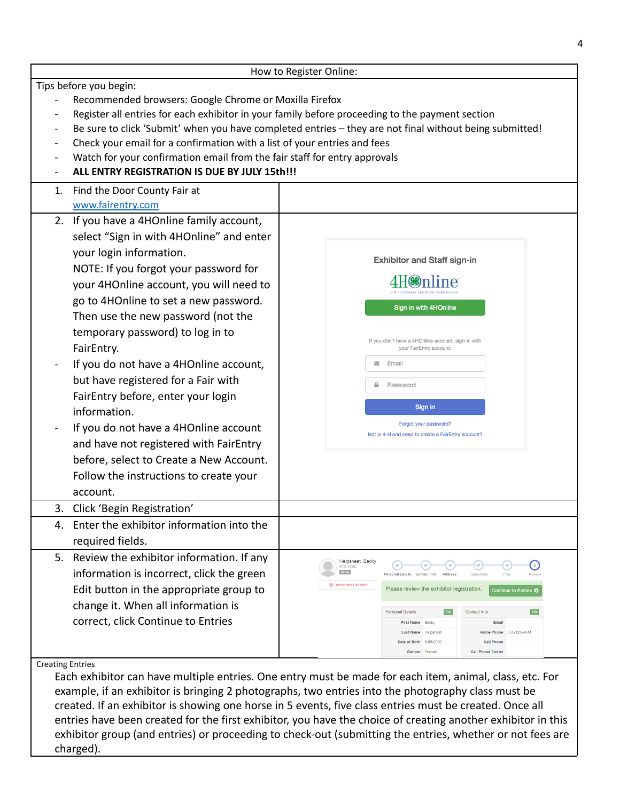|                          |                                                                                                 | How to Register Online:                                                                                 |  |
|--------------------------|-------------------------------------------------------------------------------------------------|---------------------------------------------------------------------------------------------------------|--|
|                          | Tips before you begin:                                                                          |                                                                                                         |  |
|                          | Recommended browsers: Google Chrome or Moxilla Firefox                                          |                                                                                                         |  |
|                          | Register all entries for each exhibitor in your family before proceeding to the payment section |                                                                                                         |  |
|                          |                                                                                                 | Be sure to click 'Submit' when you have completed entries - they are not final without being submitted! |  |
|                          | Check your email for a confirmation with a list of your entries and fees                        |                                                                                                         |  |
|                          | Watch for your confirmation email from the fair staff for entry approvals                       |                                                                                                         |  |
|                          | ALL ENTRY REGISTRATION IS DUE BY JULY 15th!!!                                                   |                                                                                                         |  |
| 1.                       | Find the Door County Fair at                                                                    |                                                                                                         |  |
|                          | www.fairentry.com                                                                               |                                                                                                         |  |
|                          | 2. If you have a 4HOnline family account,                                                       |                                                                                                         |  |
|                          | select "Sign in with 4HOnline" and enter                                                        |                                                                                                         |  |
|                          | your login information.                                                                         | <b>Exhibitor and Staff sign-in</b>                                                                      |  |
|                          | NOTE: If you forgot your password for                                                           |                                                                                                         |  |
|                          | your 4HOnline account, you will need to                                                         |                                                                                                         |  |
|                          | go to 4HOnline to set a new password.                                                           |                                                                                                         |  |
|                          | Then use the new password (not the                                                              | Sign in with 4HOnline                                                                                   |  |
|                          | temporary password) to log in to                                                                |                                                                                                         |  |
|                          | FairEntry.                                                                                      | If you don't have a 4HOnline account, sign-in with<br>your FairEntry account:                           |  |
| $\overline{\phantom{0}}$ | If you do not have a 4HOnline account,                                                          | Email<br>$\overline{\phantom{0}}$                                                                       |  |
|                          | but have registered for a Fair with                                                             |                                                                                                         |  |
|                          | FairEntry before, enter your login                                                              | Password                                                                                                |  |
|                          | information.                                                                                    | Sign in                                                                                                 |  |
|                          | If you do not have a 4HOnline account                                                           | Forgot your password?                                                                                   |  |
|                          |                                                                                                 | Not in 4-H and need to create a FairEntry account?                                                      |  |
|                          | and have not registered with FairEntry                                                          |                                                                                                         |  |
|                          | before, select to Create a New Account.                                                         |                                                                                                         |  |
|                          | Follow the instructions to create your                                                          |                                                                                                         |  |
|                          | account.                                                                                        |                                                                                                         |  |
|                          | 3. Click 'Begin Registration'                                                                   |                                                                                                         |  |
|                          | 4. Enter the exhibitor information into the                                                     |                                                                                                         |  |
|                          | required fields.                                                                                |                                                                                                         |  |
| 5.                       | Review the exhibitor information. If any                                                        | Helpsheet, Becky<br>$\left( 6\right)$<br>8/05/2000                                                      |  |
|                          | information is incorrect, click the green                                                       | #2145<br><b>Personal Details</b><br><b>Contact Info</b><br><b>Address</b>                               |  |
|                          | Edit button in the appropriate group to                                                         | <b>O</b> Delete this Exhibitor<br>Please review the exhibitor registration.<br>Continue to Entries O    |  |
|                          | change it. When all information is                                                              | Contact Info<br><b>Personal Details</b>                                                                 |  |
|                          | correct, click Continue to Entries                                                              | First Name Becky<br>Email                                                                               |  |
|                          |                                                                                                 | Home Phone 555-123-4444<br>Last Name Helpshee<br>Date of Birth 8/05/2000<br><b>Cell Phone</b>           |  |
|                          |                                                                                                 | Gender Female<br><b>Cell Phone Carrier</b>                                                              |  |
| <b>Creating Entries</b>  |                                                                                                 |                                                                                                         |  |
|                          |                                                                                                 | Each exhibitor can have multiple entries. One entry must be made for each item, animal, class, etc. For |  |
|                          |                                                                                                 | example, if an exhibitor is bringing 2 photographs, two entries into the photography class must be      |  |
|                          |                                                                                                 | created. If an exhibitor is showing one horse in 5 events, five class entries must be created. Once all |  |

entries have been created for the first exhibitor, you have the choice of creating another exhibitor in this exhibitor group (and entries) or proceeding to check-out (submitting the entries, whether or not fees are charged).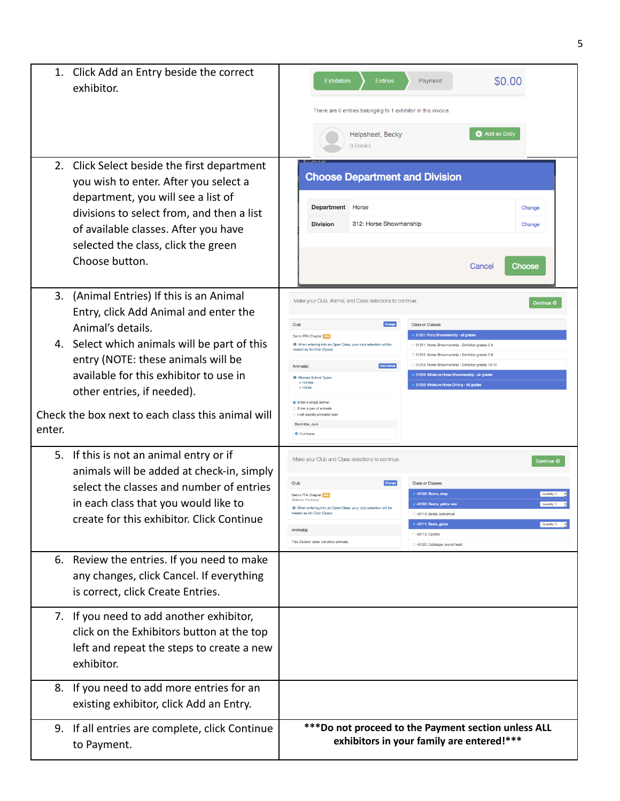|              | 1. Click Add an Entry beside the correct<br>exhibitor.                                                                                                                                                                                                                                                                 | \$0.00<br><b>Exhibitors</b><br><b>Entries</b><br>Payment<br>There are 0 entries belonging to 1 exhibitor in this invoice.                                                                                                                                                                                                                                                                                                                                                                                                                                                                                                                                                                                                                                                           |
|--------------|------------------------------------------------------------------------------------------------------------------------------------------------------------------------------------------------------------------------------------------------------------------------------------------------------------------------|-------------------------------------------------------------------------------------------------------------------------------------------------------------------------------------------------------------------------------------------------------------------------------------------------------------------------------------------------------------------------------------------------------------------------------------------------------------------------------------------------------------------------------------------------------------------------------------------------------------------------------------------------------------------------------------------------------------------------------------------------------------------------------------|
|              |                                                                                                                                                                                                                                                                                                                        | Add an Entry<br>Helpsheet, Becky<br>0 Entries                                                                                                                                                                                                                                                                                                                                                                                                                                                                                                                                                                                                                                                                                                                                       |
|              | 2. Click Select beside the first department<br>you wish to enter. After you select a<br>department, you will see a list of<br>divisions to select from, and then a list<br>of available classes. After you have<br>selected the class, click the green<br>Choose button.                                               | <b>Choose Department and Division</b><br><b>Department</b><br>Horse<br>Change<br>312: Horse Showmanship<br><b>Division</b><br>Change<br>Cancel<br>Choose                                                                                                                                                                                                                                                                                                                                                                                                                                                                                                                                                                                                                            |
| 3.<br>enter. | (Animal Entries) If this is an Animal<br>Entry, click Add Animal and enter the<br>Animal's details.<br>4. Select which animals will be part of this<br>entry (NOTE: these animals will be<br>available for this exhibitor to use in<br>other entries, if needed).<br>Check the box next to each class this animal will | Make your Club, Animal, and Class selections to continue.<br>Continue O<br>Club<br><b>Class or Classes</b><br>31201: Pony Showmanship - all grades<br>Demo FFA Chapter 17A<br><sup>O</sup> When entering into an Open Class, your club selection will be<br>31211: Horse Showmanship - Exhibitor grades 5-6<br>eated as No Club (Open)<br>31212: Horse Showmanship - Exhibitor grades 7-9<br>31213: Horse Showmanship - Exhibitor grades 10-12<br>Add Animal<br><b>Animal(s)</b><br>31220: Miniature Horse Showmanship - All grades<br><sup>4</sup> Allowed Animal Types<br>· Horses<br>31250: Miniature Horse Driving - All grades<br>· Horse<br><b>O</b> Enter a single animal<br>Enter a pen of animals<br>I will specify animal(s) late<br>Benimble, Jack<br><b>O</b> Hurricane |
|              | 5. If this is not an animal entry or if<br>animals will be added at check-in, simply<br>select the classes and number of entries<br>in each class that you would like to<br>create for this exhibitor. Click Continue                                                                                                  | Make your Club and Class selections to continue<br>Continue O<br>Club<br>Change<br><b>Class or Classes</b><br>40102: Beans, snap<br>Quantity: 3<br>Demo FFA Chapter<br>40103: Beans, yellow wax<br>When entering into an Open Class, your club selection will be<br>treated as No Club (Open)<br>40110: Beets, cylindrical<br>40111: Beets, globe<br>Quantity: 3<br>Animal(s)<br>40115: Carrots<br>This Division does not allow animals<br>40120: Cabbage, round head                                                                                                                                                                                                                                                                                                               |
|              | 6. Review the entries. If you need to make<br>any changes, click Cancel. If everything<br>is correct, click Create Entries.                                                                                                                                                                                            |                                                                                                                                                                                                                                                                                                                                                                                                                                                                                                                                                                                                                                                                                                                                                                                     |
|              | 7. If you need to add another exhibitor,<br>click on the Exhibitors button at the top<br>left and repeat the steps to create a new<br>exhibitor.                                                                                                                                                                       |                                                                                                                                                                                                                                                                                                                                                                                                                                                                                                                                                                                                                                                                                                                                                                                     |
|              | 8. If you need to add more entries for an<br>existing exhibitor, click Add an Entry.                                                                                                                                                                                                                                   |                                                                                                                                                                                                                                                                                                                                                                                                                                                                                                                                                                                                                                                                                                                                                                                     |
|              | 9. If all entries are complete, click Continue<br>to Payment.                                                                                                                                                                                                                                                          | *** Do not proceed to the Payment section unless ALL<br>exhibitors in your family are entered!***                                                                                                                                                                                                                                                                                                                                                                                                                                                                                                                                                                                                                                                                                   |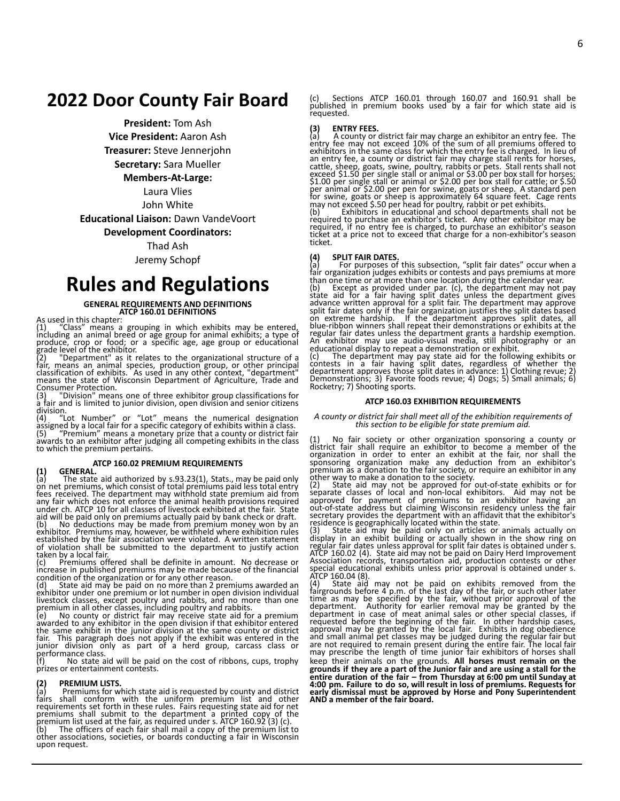# **2022 Door County Fair Board**

**President:** Tom Ash

**Vice President:** Aaron Ash

**Treasurer:** Steve Jennerjohn

**Secretary:** Sara Mueller

#### **Members-At-Large:**

Laura Vlies John White

**Educational Liaison:** Dawn VandeVoort

**Development Coordinators:**

Thad Ash

Jeremy Schopf

# **Rules and Regulations**

# **GENERAL REQUIREMENTS AND DEFINITIONS ATCP 160.01 DEFINITIONS**

As used in this chapter:

(1) "Class" means a grouping in which exhibits may be entered,<br>including an animal breed or age group for animal exhibits; a type of<br>produce, crop or food; or a specific age, age group or educational<br>grade level of the exh Consumer Protection.

(3) "Division" means one of three exhibitor group classifications for a fair and is limited to junior division, open division and senior citizens

division.<br>(4) "Lot Number" or "Lot" means the numerical designation<br>assigned by a local fair for a specific category of exhibits within a class.<br>(5) "Premium" means a monetary prize that a county or district fair<br>awards to

# **ATCP 160.02 PREMIUM REQUIREMENTS**

(1) GENERAL.<br>(a) The state aid authorized by s.93.23(1), Stats., may be paid only<br>on net premiums, which consist of total premiums paid less total entry<br>fees received. The department may withhold state premium aid from any fair which does not enforce the animal health provisions required under ch. ATCP 10 for all classes of livestock exhibited at the fair. State<br>aid will be paid only on premiums actually paid by bank check or draft.<br>(b) No deductions may be made from premium money won by an<br>exhibitor. Prem established by the fair association were violated. A written statement of violation shall be submitted to the department to justify action

taken by a local fair.<br>(c) Premiums offered shall be definite in amount. No decrease or<br>increase in published premiums may be made because of the financial<br>condition of the organization or for any other reason.<br>(d) State a

exhibitor under one premium or lot number in open division individual

livestock classes, except poultry and rabbits, and no more than one<br>premium in all other classes, including poultry and rabbits.<br>(e) No county or district fair may receive state aid for a premium<br>awarded to any exhibitor i performance class.<br>(f) No state a

No state aid will be paid on the cost of ribbons, cups, trophy prizes or entertainment contests.

#### **(2) PREMIUM LISTS.**

(a) Premiums for which state aid is requested by county and district fairs shall conform with the uniform premium list and other requirements set forth in these rules. Fairs requesting state aid for net premiums shall submit to the department a printed copy of the<br>premium list used at the fair, as required under s. ATCP 160.92 (3) (c).<br>(b) The officers of each fair shall mail a copy of the premium list to

other associations, societies, or boards conducting a fair in Wisconsin upon request.

(c) Sections ATCP 160.01 through 160.07 and 160.91 shall be published in premium books used by a fair for which state aid is requested.

#### **(3) ENTRY FEES.**

(a) A county or district fair may charge an exhibitor an entry fee. The entry fee may not exceed 10% of the sum of all premiums offered to exhibitors in the same class for which the entry fee is charged. In lieu of an entry fee, a county or district fair may charge stall rents for horses,<br>cattle, sheep, goats, swine, poultry, rabbits or pets. Stall rents shall not<br>exceed \$1.50 per single stall or animal or \$3.00 per box stall for hor

#### **(4) SPLIT FAIR DATES.**

(a) For purposes of this subsection, "split fair dates" occur when a fair organization judges exhibits or contests and pays premiums at more than one time or at more than one location during the calendar year.

(b) Except as provided under par. (c), the department may not pay<br>state aid for a fair having split dates unless the department gives<br>advance written approval for a split fair. The department may approve<br>split fair dates o

regular fair dates unless the department grants a hardship exemption.<br>An exhibitor may use audio-visual media, still photography or an<br>educational display to repeat a demonstration or exhibit.<br>(c) The department may pay st

#### **ATCP 160.03 EXHIBITION REQUIREMENTS**

#### *A county or district fair shall meet all of the exhibition requirements of this section to be eligible for state premium aid.*

(1) No fair society or other organization sponsoring a county or district fair shall require an exhibitor to become a member of the organization in order to enter an exhibit at the fair, nor shall the sponsoring organizati other way to make a donation to the society.

(2) State aid may not be approved for out-of-state exhibits or for<br>separate classes of local and non-local exhibitors. Aid may not be<br>approved for payment of premiums to an exhibitor having an<br>out-of-state address but clai residence is geographically located within the state.

(3) State aid may be paid only on articles or animals actually on<br>display in an exhibit building or actually shown in the show ring on<br>regular fair dates unless approval for split fair dates is obtained under s.<br>ATCP 160.0 Association records, transportation aid, production contests or other special educational exhibits unless prior approval is obtained under s.

ATCP 160.04 (8).<br>
(4) State aid may not be paid on exhibits removed from the<br>
fairgrounds before 4 p.m. of the last day of the fair, or such other later<br>
time as may be specified by the fair, without prior approval of the<br> requested before the beginning of the fair. In other hardship cases, approval may be granted by the local fair. Exhibits in dog obedience and small animal pet classes may be judged during the regular fair but<br>are not requi keep their animals on the grounds. **All horses must remain on the** grounds if they are a part of the Junior fair and are using a stall for the<br>entire duration of the fair – from Thursday at 6:00 pm until Sunday at<br>4:00 pm. Failure to do so, will result in loss of premiums. Requests for<br>ea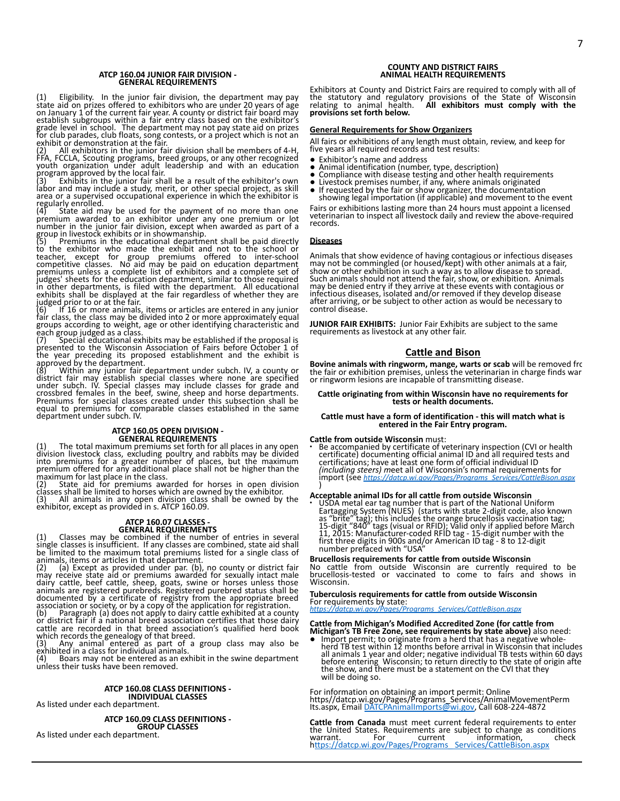#### **ATCP 160.04 JUNIOR FAIR DIVISION - GENERAL REQUIREMENTS**

(1) Eligibility. In the junior fair division, the department may pay state aid on prizes offered to exhibitors who are under 20 years of age<br>on January 1 of the current fair year. A county or district fair board may<br>establish subgroups within a fair entry class based on the exhibitor's<br>grad

regularly enrolled.<br>
(4) State aid may be used for the payment of no more than one<br>
premium awarded to an exhibitor under any one premium or lot<br>
number in the junior fair division, except when awarded as part of a<br>
group

to the exhibitor who made the exhibit and not to the school or<br>teacher, except for group premiums offered to inter-school<br>competitive classes. No aid may be paid on education department<br>premiums unless a complete list of e judges' sheets for the education department, similar to those required<br>in other departments, is filed with the department. All educational<br>exhibits shall be displayed at the fair regardless of whether they are<br>judged prior

If 16 or more animals, items or articles are entered in any junior fair class, the class may be divided into 2 or more approximately equal groups according to weight, age or other identifying characteristic and

each group judged as a class.<br>(7) Special educational exhibits may be established if the proposal is<br>presented to the Wisconsin Association of Fairs before October 1 of<br>the year preceding its proposed establishment and approved by the department.

(8) Within any junior fair department under subch. IV, a county or district fair may establish special classes where none are specified under subch. IV. Special classes may include classes for grade and crossbred females i equal to premiums for comparable classes established in the same department under subch. IV.

**ATCP 160.05 OPEN DIVISION -<br>GENERAL REQUIREMENTS**<br>The total maximum premiums set forth for all places in any open division livestock class, excluding poultry and rabbits may be divided into premiums for a greater number of places, but the maximum premium offered for any additional place shall not be higher than the

maximum for last place in the class. (2) State aid for premiums awarded for horses in open division classes shall be limited to horses which are owned by the exhibitor. (3) All animals in any open division class shall be owned by the

exhibitor, except as provided in s. ATCP 160.09.

**ATCP 160.07 CLASSES -**<br> **GENERAL REQUIREMENTS**<br> **GENERAL REQUIREMENTS**<br>
Single classes is insufficient. If any classes are combined, state aid shall<br>
be limited to the maximum total premiums listed for a single class of

animals, items or articles in that department.<br>(2) (a) Except as provided under par. (b), no county or district fair<br>may receive state aid or premiums awarded for sexually intact male<br>dairy cattle, beef cattle, sheep, goat

(4) Boars may not be entered as an exhibit in the swine department unless their tusks have been removed.

### **ATCP 160.08 CLASS DEFINITIONS - INDIVIDUAL CLASSES**

As listed under each department.

**ATCP 160.09 CLASS DEFINITIONS - GROUP CLASSES** As listed under each department.

#### **COUNTY AND DISTRICT FAIRS ANIMAL HEALTH REQUIREMENTS**

Exhibitors at County and District Fairs are required to comply with all of the statutory and regulatory provisions of the State of Wisconsin relating to animal health. **All exhibitors must comply with the provisions set forth below.**

#### **General Requirements for Show Organizers**

All fairs or exhibitions of any length must obtain, review, and keep for five years all required records and test results:

- Exhibitor's name and address<br>• Animal identification (number
- Animal identification (number, type, description)
- 
- Compliance with disease testing and other health requirements<br>● Livestock premises number, if any, where animals originated<br>● If requested by the fair or show organizer, the documentation

showing legal importation (if applicable) and movement to the event Fairs or exhibitions lasting more than 24 hours must appoint a licensed veterinarian to inspect all livestock daily and review the above-required records.

#### **Diseases**

Animals that show evidence of having contagious or infectious diseases<br>may not be commingled (or housed/kept) with other animals at a fair,<br>show or other exhibition in such a way as to allow disease to spread.<br>Such animals after arriving, or be subject to other action as would be necessary to control disease.

**JUNIOR FAIR EXHIBITS:** Junior Fair Exhibits are subject to the same requirements as livestock at any other fair.

### **Cattle and Bison**

**Bovine animals with ringworm, mange, warts or scab** will be removed frother fair or exhibition premises, unless the veterinarian in charge finds war<br>or ringworm lesions are incapable of transmitting disease.

# **Cattle originating from within Wisconsin have no requirements for tests or health documents.**

#### **Cattle must have a form of identification - this will match what is entered in the Fair Entry program.**

#### **Cattle from outside Wisconsin** must:

∙ Be accompanied by certificate of veterinary inspection (CVI or health certificate) documenting official animal ID and all required tests and certifications; have at least one form of official individual ID *(including steers) m*eet all of Wisconsin's normal requirements for import (see *[https://datcp.wi.gov/Pages/Programs\\_Services/CattleBison.aspx](https://datcp.wi.gov/Pages/Programs_Services/CattleBison.aspx)* )

#### **Acceptable animal IDs for all cattle from outside Wisconsin**

• USDA metal ear tag number that is part of the National Uniform<br>Eartagging System (NUES) (starts with state 2-digit code, also known<br>as "brite" tag); this includes the orange brucellosis vaccination tag;<br>15-digit "840" ta

**Brucellosis requirements for cattle from outside Wisconsin** No cattle from outside Wisconsin are currently required to be brucellosis-tested or vaccinated to come to fairs and shows in Wisconsin.

### **Tuberculosis requirements for cattle from outside Wisconsin**

For requirements by state: *[https://datcp.wi.gov/Pages/Programs\\_Services/CattleBison.aspx](https://datcp.wi.gov/Pages/Programs_Services/CattleBison.aspx)*

Cattle from Michigan's Modified Accredited Zone (for cattle from<br>Michigan's TB Free Zone, see requirements by state above) also need:<br>● Import permit; to originate from a herd that has a negative whole-<br>herd TB test withi all animals 1 year and older; negative individual TB tests within 60 days before entering Wisconsin; to return directly to the state of origin afte the show, and there must be a statement on the CVI that they will be doing so.

For information on obtaining an import permit: Online<br>https//datcp.wi.gov/Pages/Programs\_Services/AnimalMovementPerm<br>Its.aspx, Email <u>DATCPAnimalImports@wi.gov</u>, Call 608-224-4872

**Cattle from Canada** must meet current federal requirements to enter<br>the United States. Requirements are subject to change as conditions<br>warrant. For current information, check h[ttps://datcp.wi.gov/Pages/Programs\\_ Services/CattleBison.aspx](https://datcp.wi.gov/Pages/Programs_%20Services/CattleBison.aspx)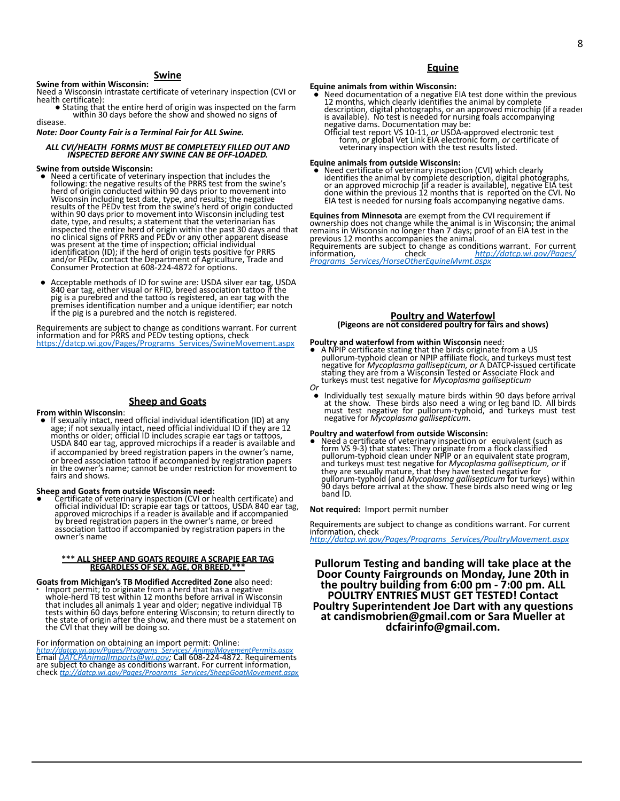# **Swine**

**Swine from within Wisconsin:** Need a Wisconsin intrastate certificate of veterinary inspection (CVI or health certificate):

■ Stating that the entire herd of origin was inspected on the farm within 30 days before the show and showed no signs of disease.

*Note: Door County Fair is a Terminal Fair for ALL Swine.*

#### *ALL CVI/HEALTH FORMS MUST BE COMPLETELY FILLED OUT AND INSPECTED BEFORE ANY SWINE CAN BE OFF-LOADED.*

#### **Swine from outside Wisconsin:**

- Need a certificate of veterinary inspection that includes the following: the negative results of the PRRS test from the swine's herd of origin conducted within 90 days prior to movement into herd of ŏrigin conducted within 90 days prior to movement into<br>Wisconsin including test date, type, and results; the negative<br>results of the PEDv test from the swine's herd of origin conducted<br>within 90 days prior to movem date, type, and results; a statement that the veterinarian has inspected the entire herd of origin within the past 30 days and that<br>no clinical signs of PRRS and PEDv or any other apparent disease<br>was present at the time of inspection; official individual<br>identification (ID); if the h
- Acceptable methods of ID for swine are: USDA silver ear tag, USDA 840 ear tag, either visual or RFID, breed association tattoo if the pig is a purebred and the tattoo is registered, an ear tag with the premises identification number and a unique identifier; ear notch if the pig is a purebred and the notch is registered.

Requirements are subject to change as conditions warrant. For current information and for PRRS and PEDv testing options, check [https://datcp.wi.gov/Pages/Programs\\_Services/SwineMovement.aspx](https://datcp.wi.gov/Pages/Programs_Services/SwineMovement.aspx)

### **Sheep and Goats**

#### **From within Wisconsin**:

• If sexually intact, need official individual identification (ID) at any age; if not sexually intact, need official individual ID if they are 12 months or older; official ID includes scrapie ear tags or tattoos, USDA 840 if accompanied by breed registration papers in the owner's name, or breed association tattoo if accompanied by registration papers in the owner's name; cannot be under restriction for movement to fairs and shows.

#### **Sheep and Goats from outside Wisconsin need:**

Certificate of veterinary inspection (CVI or health certificate) and official individual ID: scrapie ear tags or tattoos, USDA 840 ear tag,<br>approved microchips if a reader is available and if accompanied<br>by breed registration papers in the owner's name, or breed<br>association tattoo if accomp owner's name

# **\*\*\* ALL SHEEP AND GOATS REQUIRE A SCRAPIE EAR TAG REGARDLESS OF SEX, AGE, OR BREED.\*\*\***

**Goats from Michigan's TB Modified Accredited Zone** also need: ∙ Import permit; to originate from a herd that has a negative whole-herd TB test within 12 months before arrival in Wisconsin that includes all animals 1 year and older; negative individual TB tests within 60 days before entering Wisconsin; to return directly to the state of origin after the show, and there must be a statement on<br>the CVI that they will be doing so.

For information on obtaining an import permit: Online:<br>http://datcp.wi.gov/Pages/Programs Services/AnimalMoven

*[http://datcp.wi.gov/Pages/Programs\\_Services/](http://datcp.wi.gov/Pages/Programs_Services/%20AnimalMovementPermits.aspx) AnimalMovementPermits.aspx* Email *[DATCPAnimalImports@wi.gov;](mailto:DATCPAnimalImports@wi.gov)* Call 608-224-4872. Requirements are subject to change as conditions warrant. For current information, check *[ttp://datcp.wi.gov/Pages/Programs\\_Services/SheepGoatMovement.aspx](http://datcp.wi.gov/Pages/Programs%20_Services/SheepGoatMovement.aspx)*

## **Equine**

**Equine animals from within Wisconsin:**<br>
• Need documentation of a negative EIA test done within the previous<br>
12 months, which clearly identifies the animal by complete<br>
description, digital photographs, or an approved mi negative dams. Documentation may be:<br>Official test report VS 10-11, or USDA-approved electronic test<br>form, or global Vet Link EIA electronic form, or certificate of<br>veterinary inspection with the test results listed.

#### **Equine animals from outside Wisconsin:**

Need certificate of veterinary inspection (CVI) which clearly identifies the animal by complete description, digital photographs,<br>or an approved microchip (if a reader is available), negative EIA test<br>done within the previous 12 months that is reported on the CVI. No<br>EIA test is need

**Equines from Minnesota** are exempt from the CVI requirement if ownership does not change while the animal is in Wisconsin; the animal remains in Wisconsin no longer than 7 days; proof of an EIA test in the<br>previous 12 months accompanies the animal.<br>Requirements are subject to change as conditions warrant. For current

information, check *[http://datcp.wi.gov/Pages/](http://datcp.wi.gov/Pages/%20Programs_Services/HorseOtherEquineMvmt.aspx) [Programs\\_Services/HorseOtherEquineMvmt.aspx](http://datcp.wi.gov/Pages/%20Programs_Services/HorseOtherEquineMvmt.aspx)*

#### **Poultry and Waterfowl (Pigeons are not considered poultry for fairs and shows)**

- **Poultry and waterfowl from within Wisconsin** need:<br>• A NPIP certificate stating that the birds originate from a US<br>pullorum-typhoid clean or NPIP affiliate flock, and turkeys must test<br>negative for *Mycoplasma galliseptic* stating they are from a Wisconsin Tested or Associate Flock and turkeys must test negative for *Mycoplasma gallisepticum Or*
- Individually test sexually mature birds within 90 days before arrival at the show. These birds also need a wing or leg band ID. All birds<br>must test negative for pullorum-typhoid, and turkeys must test negative for *Mycoplasma gallisepticum*.

#### **Poultry and waterfowl from outside Wisconsin:**

● Need a certificate of veterinary inspection or equivalent (such as form VS 9-3) that states: They originate from a flock classified pullorum-typhoid clean under NPIP or an equivalent state program, and turkeys must test negative for *Mycoplasma gallisepticum, or* if they are sexually mature, that they have tested negative for<br>pullorum-typhoid (and *Mycoplasma gallisepticum* for turkeys) within<br>90 days before arrival at the show. These birds also need wing or leg band ID.

**Not required:** Import permit number

Requirements are subject to change as conditions warrant. For current information, check

*[http://datcp.wi.gov/Pages/Programs\\_Services/PoultryMovement.aspx](http://datcp.wi.gov/Pages/Programs_Services/PoultryMovement.aspx)*

**Pullorum Testing and banding will take place at the Door County Fairgrounds on Monday, June 20th in the poultry building from 6:00 pm - 7:00 pm. ALL POULTRY ENTRIES MUST GET TESTED! Contact Poultry Superintendent Joe Dart with any questions at candismobrien@gmail.com or Sara Mueller at dcfairinfo@gmail.com.**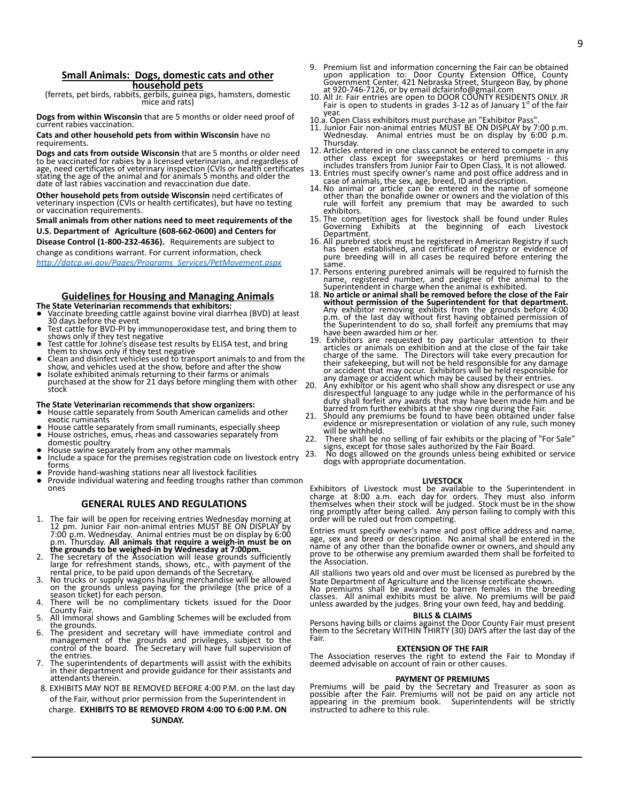### **Small Animals: Dogs, domestic cats and other household pets**

(ferrets, pet birds, rabbits, gerbils, guinea pigs, hamsters, domestic mice and rats)

**Dogs from within Wisconsin** that are 5 months or older need proof of current rabies vaccination.

#### **Cats and other household pets from within Wisconsin** have no requirements.

**Dogs and cats from outside Wisconsin** that are 5 months or older need to be vaccinated for rabies by a licensed veterinarian, and regardless of age, need certificates of veterinary inspection (CVIs or health certificates stating the age of the animal and for animals 5 months and older the date of last rabies vaccination and revaccination due date.

**Other household pets from outside Wisconsin** need certificates of veterinary inspection (CVIs or health certificates), but have no testing or vaccination requirements.

**Small animals from other nations need to meet requirements of the U.S. Department of Agriculture (608-662-0600) and Centers for**

**Disease Control (1-800-232-4636).** Requirements are subject to change as conditions warrant. For current information, check

*[http://datcp.wi.gov/Pages/Programs\\_Services/PetMovement.aspx](http://datcp.wi.gov/Pages/Programs_Services/PetMovement.aspx)*

### **Guidelines for Housing and Managing Animals**

**The State Veterinarian recommends that exhibitors:**

- Vaccinate breeding cattle against bovine viral diarrhea (BVD) at least 30 days before the event ● Test cattle for BVD-PI by immunoperoxidase test, and bring them to
- shows only if they test negative
- Test cattle for Johne's disease test results by ELISA test, and bring them to shows only if they test negative
- Clean and disinfect vehicles used to transport animals to and from the show, and vehicles used at the show, before and after the show<br>• Isolate exhibited animals returning to their farms or animals purchased at the show
- stock

#### **The State Veterinarian recommends that show organizers:**

- House cattle separately from South American camelids and other exotic ruminants
- House cattle separately from small ruminants, especially sheep
- House ostriches, emus, rheas and cassowaries separately from domestic poultry
- $\bullet$  House swine separately from any other mammals<br> $\bullet$  Include a space for the premises registration code
- Include a space for the premises registration code on livestock entry forms
- Provide hand-washing stations near all livestock facilities
- Provide individual watering and feeding troughs rather than common ones

### **GENERAL RULES AND REGULATIONS**

- 1. The fair will be open for receiving entries Wednesday morning at<br>12 pm. Junior Fair non-animal entries MUST BE ON DISPLAY by<br>7:00 p.m. Wednesday. Animal entries must be on display by 6:00<br>p.m. Thursday. **All animals tha**
- **the grounds to be weighed-in by Wednesday at 7:00pm.** 2. The secretary of the Association will lease grounds sufficiently
- large for refreshment stands, shows, etc., with payment of the<br>rental price, to be paid upon demands of the Secretary.<br>3. No trucks or supply wagons hauling merchandise will be allowed<br>on the grounds unless paying for the
- There will be no complimentary tickets issued for the Door
- County Fair. 5. All Immoral shows and Gambling Schemes will be excluded from the grounds.
- 6. The president and secretary will have immediate control and management of the grounds and privileges, subject to the control of the board. The Secretary will have full supervision of the entries.
- 7. The superintendents of departments will assist with the exhibits in their department and provide guidance for their assistants and attendants therein.
- 8. EXHIBITS MAY NOT BE REMOVED BEFORE 4:00 P.M. on the last day of the Fair, without prior permission from the Superintendent in

charge. **EXHIBITS TO BE REMOVED FROM 4:00 TO 6:00 P.M. ON SUNDAY.**

- 9. Premium list and information concerning the Fair can be obtained upon application to: Door County Extension Office, County Government Center, 421 Nebraska Street, Sturgeon Bay, by phone
- at 920-746-7126, or by email dcfairinfo@gmail.com<br>10. All Jr. Fair entries are open to DOOR COUNTY RESIDENTS ONLY. JR<br>Fair is open to students in grades 3-12 as of January 1<sup>st</sup> of the fair year.
- 
- 10.a. Open Class exhibitors must purchase an "Exhibitor Pass". 11. Junior Fair non-animal entries MUST BE ON DISPLAY by 7:00 p.m. Wednesday. Animal entries must be on display by  $6:00$  p.m. Thursday.
- 12. Articles entered in one class cannot be entered to compete in any other class except for sweepstakes or herd premiums this includes transfers from Junior Fair to Open Class. It is not allowed.
- 13. Entries must specify owner's name and post office address and in case of animals, the sex, age, breed, ID and description.
- 14. No animal or article can be entered in the name of someone other than the bonafide owner or owners and the violation of this rule will forfeit any premium that may be awarded to such exhibitors.
- 15. The competition ages for livestock shall be found under Rules Governing Exhibits at the beginning of each Livestock Department.
- 16. All purebred stock must be registered in American Registry if such has been established, and certificate of registry or evidence of pure breeding will in all cases be required before entering the same.
- 17. Persons entering purebred animals will be required to furnish the name, registered number, and pedigree of the animal to the
- Superintendent in charge when the animal is exhibited.<br>18. **No article or animal shall be removed before the close of the Fair<br>without permission of the Superintendent for that department.**<br>Any exhibitor removing exhibits have been awarded him or her.
- 19. Exhibitors are requested to pay particular attention to their<br>articles or animals on exhibition and at the close of the fair take<br>charge of the same. The Directors will take every precaution for<br>their safekeeping, but or accident that may occur. Exhibitors will be held responsible for
- any damage or accident which may be caused by their entries.<br>20. Any exhibitor or his agent who shall show any disrespect or use any<br>disrespectful language to any judge while in the performance of his<br>duty shall forfeit an
- 21. Should any premiums be found to have been obtained under false evidence or misrepresentation or violation of any rule, such money will be withheld.
- 22. There shall be no selling of fair exhibits or the placing of "For Sale" signs, except for those sales authorized by the Fair Board.
- 23. No dogs allowed on the grounds unless being exhibited or service dogs with appropriate documentation.

#### **LIVESTOCK**

Exhibitors of Livestock must be available to the Superintendent in charge at 8:00 a.m. each day for orders. They must also inform themselves when their stock will be judged. Stock must be in the show ring promptly after being called. Any person failing to comply with this order will be ruled out from competing.

Entries must specify owner's name and post office address and name, age, sex and breed or description. No animal shall be entered in the name of any other than the bonafide owner or owners, and should any prove to be otherwise any premium awarded them shall be forfeited to the Association.

All stallions two years old and over must be licensed as purebred by the State Department of Agriculture and the license certificate shown.

No premiums shall be awarded to barren females in the breeding<br>classes. All animal exhibits must be alive. No premiums will be paid<br>unless awarded by the judges. Bring your own feed, hay and bedding.

#### **BILLS & CLAIMS**

Persons having bills or claims against the Door County Fair must present them to the Secretary WITHIN THIRTY (30) DAYS after the last day of the Fair.

#### **EXTENSION OF THE FAIR**

The Association reserves the right to extend the Fair to Monday if deemed advisable on account of rain or other causes.

#### **PAYMENT OF PREMIUMS**

Premiums will be paid by the Secretary and Treasurer as soon as possible after the Fair. Premiums will not be paid on any article not appearing in the premium book. Superintendents will be strictly instructed to adhere to this rule.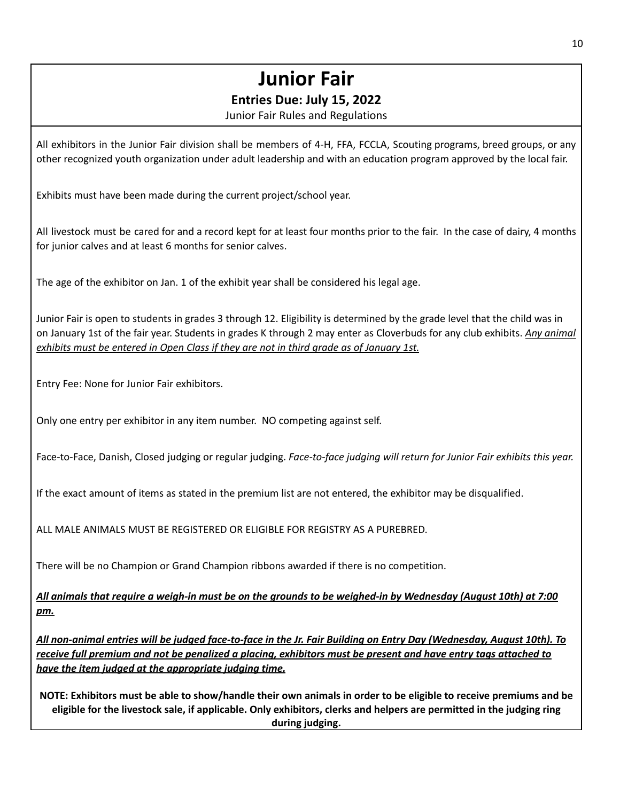# **Junior Fair**

# **Entries Due: July 15, 2022**

Junior Fair Rules and Regulations

All exhibitors in the Junior Fair division shall be members of 4-H, FFA, FCCLA, Scouting programs, breed groups, or any other recognized youth organization under adult leadership and with an education program approved by the local fair.

Exhibits must have been made during the current project/school year.

All livestock must be cared for and a record kept for at least four months prior to the fair. In the case of dairy, 4 months for junior calves and at least 6 months for senior calves.

The age of the exhibitor on Jan. 1 of the exhibit year shall be considered his legal age.

Junior Fair is open to students in grades 3 through 12. Eligibility is determined by the grade level that the child was in on January 1st of the fair year. Students in grades K through 2 may enter as Cloverbuds for any club exhibits. *Any animal exhibits must be entered in Open Class if they are not in third grade as of January 1st.*

Entry Fee: None for Junior Fair exhibitors.

Only one entry per exhibitor in any item number. NO competing against self.

Face-to-Face, Danish, Closed judging or regular judging. *Face-to-face judging will return for Junior Fair exhibits this year.*

If the exact amount of items as stated in the premium list are not entered, the exhibitor may be disqualified.

ALL MALE ANIMALS MUST BE REGISTERED OR ELIGIBLE FOR REGISTRY AS A PUREBRED.

There will be no Champion or Grand Champion ribbons awarded if there is no competition.

All animals that require a weigh-in must be on the grounds to be weighed-in by Wednesday (August 10th) at 7:00 *pm.*

All non-animal entries will be judged face-to-face in the Jr. Fair Building on Entry Day (Wednesday, August 10th). To receive full premium and not be penalized a placing, exhibitors must be present and have entry tags attached to *have the item judged at the appropriate judging time.*

NOTE: Exhibitors must be able to show/handle their own animals in order to be eligible to receive premiums and be eligible for the livestock sale, if applicable. Only exhibitors, clerks and helpers are permitted in the judging ring **during judging.**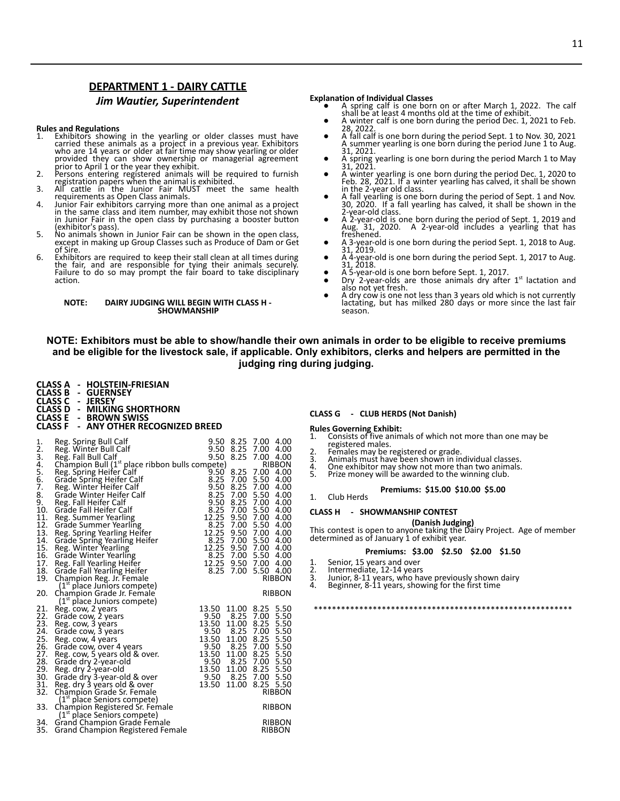## **DEPARTMENT 1 - DAIRY CATTLE**

### *Jim Wautier, Superintendent*

#### **Rules and Regulations**

- 1. Exhibitors showing in the yearling or older classes must have<br>carried these animals as a project in a previous year. Exhibitors<br>who are 14 years or older at fair time may show yearling or older<br>provided they can show ow
- 
- 3. All cattle in the Junior Fair MUST meet the same health requirements as Open Class animals.
- 4. Junior Fair exhibitors carrying more than one animal as a project in the same class and item number, may exhibit those not shown in Junior Fair in the open class by purchasing a booster button (exhibitor's pass).
- 5. No animals shown in Junior Fair can be shown in the open class, except in making up Group Classes such as Produce of Dam or Get of Sire.
- 6. Exhibitors are required to keep their stall clean at all times during the fair, and are responsible for tying their animals securely. Failure to do so may prompt the fair board to take disciplinary action.

#### **NOTE: DAIRY JUDGING WILL BEGIN WITH CLASS H - SHOWMANSHIP**

#### **Explanation of Individual Classes**

- A spring calf is one born on or after March 1, 2022. The calf shall be at least 4 months old at the time of exhibit.
- A winter calf is one born during the period Dec. 1, 2021 to Feb. 28, 2022.
- A fall calf is one born during the period Sept. 1 to Nov. 30, 2021 A summer yearling is one born during the period June 1 to Aug. 31, 2021.
- A spring yearling is one born during the period March 1 to May 31, 2021.
- A winter yearling is one born during the period Dec. 1, 2020 to Feb. 28, 2021. If a winter yearling has calved, it shall be shown in the 2-year old class.
- A fall yearling is one born during the period of Sept. 1 and Nov.<br>30, 2020. If a fall yearling has calved, it shall be shown in the<br>2-year-old class.
- A 2-year-old is one born during the period of Sept. 1, 2019 and Aug. 31, 2020. A 2-year-old includes a yearling that has Aug. 31,<br>freshened
- A 3-year-old is one born during the period Sept. 1, 2018 to Aug. 31, 2019.
- A 4-year-old is one born during the period Sept. 1, 2017 to Aug.<br>
 A 5-year-old is one born before Sept. 1, 2017.
- 
- Dry 2-year-olds are those animals dry after  $1<sup>st</sup>$  lactation and also not yet fresh.
- A dry cow is one not less than 3 years old which is not currently lactating, but has milked 280 days or more since the last fair season.

## NOTE: Exhibitors must be able to show/handle their own animals in order to be eligible to receive premiums and be eligible for the livestock sale, if applicable. Only exhibitors, clerks and helpers are permitted in the **judging ring during judging.**

- **CLASS A - HOLSTEIN-FRIESIAN CLASS B - GUERNSEY**
- **CLASS C - JERSEY**
- **CLASS D - MILKING SHORTHORN**
- **CLASS E - BROWN SWISS**

### **CLASS F - ANY OTHER RECOGNIZED BREED**

| 1.<br>2.<br>3.    | Reg. Spring Bull Calf<br>Reg. Winter Bull Calf<br>Reg. Fall Bull Calf<br>Champion Bull (1 <sup>st</sup> place ribbon bulls compete) | $9.50$ 8.25 7.00<br>-4.00<br>$9.50$ $8.25$ $7.00$ $4.00$<br>8.25 7.00 4.00<br>9.50<br><b>RIBBON</b> |
|-------------------|-------------------------------------------------------------------------------------------------------------------------------------|-----------------------------------------------------------------------------------------------------|
| 4.<br>5.          | Reg. Spring Heifer Calf                                                                                                             | 9.50<br>8.25 7.00 4.00                                                                              |
| 6.                | Grade Spring Heifer Calf                                                                                                            | 8.25<br>7.00 5.50<br>4.00                                                                           |
| 7.                | Reg. Winter Heifer Calf                                                                                                             | 8.25<br>7.00<br>9.50<br>4.00                                                                        |
| 8.                | Grade Winter Heifer Calf                                                                                                            | 8.25<br>7.00 5.50<br>4.00                                                                           |
| 9.                | Reg. Fall Heifer Calf                                                                                                               | 8.25<br>9.50<br>7.00<br>4.00                                                                        |
| 10.               | Grade Fall Heifer Calf                                                                                                              | 8.25 7.00 5.50<br>4.00                                                                              |
| $\frac{11}{12}$ . | Reg. Summer Yearling                                                                                                                | 12.25 9.50 7.00<br>4.00                                                                             |
|                   | Grade Summer Yearling                                                                                                               | 8.25 7.00 5.50 4.00<br>12.25 9.50 7.00 4.00<br>8.25 7.00 5.50 4.00                                  |
| 13.               | Reg. Spring Yearling Heifer                                                                                                         |                                                                                                     |
| 14.               | Grade Spring Yearling Heifer<br>Reg. Winter Yearling                                                                                | 12.25 9.50 7.00 4.00                                                                                |
| 15.               |                                                                                                                                     | 8.25 7.00 5.50 4.00                                                                                 |
| 16.<br>17.        | Grade Winter Yearling<br>Reg. Fall Yearling Heifer                                                                                  | 12.25 9.50 7.00 4.00                                                                                |
| 18.               | Grade Fall Yearling Heifer                                                                                                          | 8.25 7.00 5.50 4.00                                                                                 |
| 19.               | Champion Reg. Jr. Female                                                                                                            | <b>RIBBON</b>                                                                                       |
|                   | (1 <sup>st</sup> place Juniors compete)                                                                                             |                                                                                                     |
| 20.               | Champion Grade Jr. Female                                                                                                           | <b>RIBBON</b>                                                                                       |
|                   | (1 <sup>st</sup> place Juniors compete)                                                                                             |                                                                                                     |
| 21.               | Reg. cow, 2 years                                                                                                                   | 13.50<br>11.00 8.25 5.50                                                                            |
| 22.               | Grade cow, 2 years                                                                                                                  | $9.50$ $8.25$ $7.00$ $5.50$                                                                         |
| 23.               | Reg. cow, 3 years                                                                                                                   | 13.50<br>3.50 11.00 8.25 5.50<br>9.50 8.25 7.00 5.50                                                |
| 24.               | Grade cow, 3 years                                                                                                                  |                                                                                                     |
| 25.               | Reg. cow, 4 years                                                                                                                   | 11.00 8.25 5.50<br>13.50                                                                            |
| 26.               | Grade cow, over 4 years                                                                                                             | 7.00 5.50<br>9.50 8.25                                                                              |
| 27.<br>28.        | Reg. cow, 5 years old & over.                                                                                                       | 11.00 8.25 5.50<br>13.50<br>9.50 8.25<br>7.00 5.50                                                  |
| 29.               | Grade dry 2-year-old<br>Reg. dry 2-year-old                                                                                         | 13.50 11.00 8.25 5.50                                                                               |
| 30.               | Grade dry 3-year-old & over                                                                                                         | 9.50 8.25<br>7.00 5.50                                                                              |
| 31.               | Reg. dry 3 years old & over                                                                                                         | 13.50<br>8.25 5.50<br>11.00                                                                         |
| 32.               | Champion Grade Sr. Female                                                                                                           | <b>RIBBON</b>                                                                                       |
|                   | $(1st$ place Seniors compete)                                                                                                       |                                                                                                     |
| 33.               | Champion Registered Sr. Female<br>(1 <sup>st</sup> place Seniors compete)                                                           | <b>RIBBON</b>                                                                                       |
| 34.               | Grand Champion Grade Female                                                                                                         | RIBBON                                                                                              |
| 35.               | Grand Champion Registered Female                                                                                                    | <b>RIBBON</b>                                                                                       |

### **CLASS G - CLUB HERDS (Not Danish)**

- **Rules Governing Exhibit:** 1. Consists of five animals of which not more than one may be registered males.
- 
- 2. Females may be registered or grade. 3. Animals must have been shown in individual classes.
- 4. One exhibitor may show not more than two animals.<br>5. Prize money will be awarded to the winning club
	- Prize money will be awarded to the winning club.

#### **Premiums: \$15.00 \$10.00 \$5.00** 1. Club Herds

#### **CLASS H - SHOWMANSHIP CONTEST**

**(Danish Judging)** This contest is open to anyone taking the Dairy Project. Age of member determined as of January 1 of exhibit year.

#### **Premiums: \$3.00 \$2.50 \$2.00 \$1.50**

- 1. Senior, 15 years and over<br>2. Intermediate, 12-14 years
- 
- 2. Intermediate, 12-14 years 3. Junior, 8-11 years, who have previously shown dairy 4. Beginner, 8-11 years, showing for the first time
- 

\*\*\*\*\*\*\*\*\*\*\*\*\*\*\*\*\*\*\*\*\*\*\*\*\*\*\*\*\*\*\*\*\*\*\*\*\*\*\*\*\*\*\*\*\*\*\*\*\*\*\*\*\*\*\*\*\*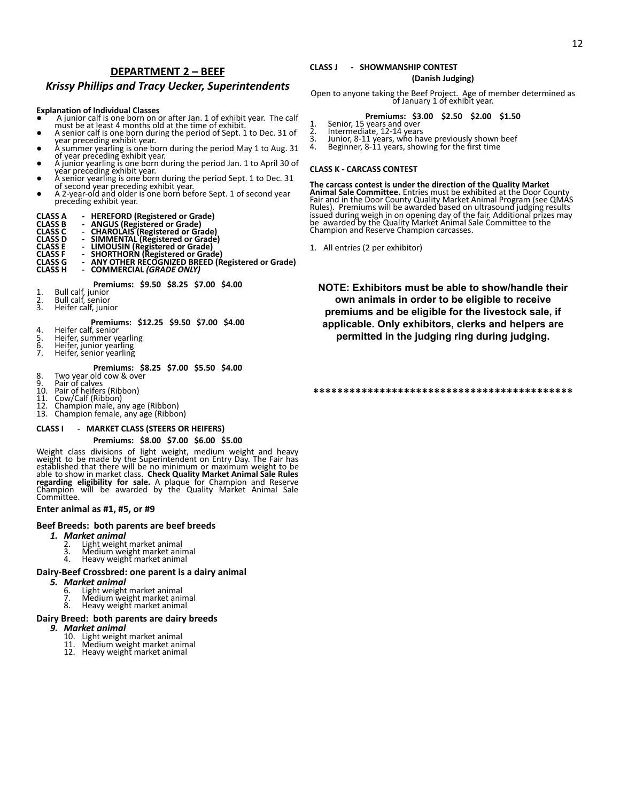## **DEPARTMENT 2 – BEEF**

## *Krissy Phillips and Tracy Uecker, Superintendents*

#### **Explanation of Individual Classes**

- A junior calf is one born on or after Jan. 1 of exhibit year. The calf must be at least 4 months old at the time of exhibit.
- A senior calf is one born during the period of Sept. 1 to Dec. 31 of
- vear preceding exhibit year. <br>
 A summer yearling is one born during the period May 1 to Aug. 31<br>
of year preceding exhibit year.<br>
 A senior yearling is one born during the period Jan. 1 to April 30 of<br>
year preceding e
- 
- of second year preceding exhibit year.
- A 2-year-old and older is one born before Sept. 1 of second year preceding exhibit year.

- 
- 
- 
- 
- CLASS A FREEFORD (Registered or Grade)<br>CLASS B FANGUS (Registered or Grade)<br>CLASS C FANGUS (Registered or Grade)<br>CLASS D FRANCUAIS (Registered or Grade)<br>CLASS E FRANCUSIN (Registered or Grade)<br>CLASS F FRANCUSIN (Registered
- **CLASS H - COMMERCIAL** *(GRADE ONLY)*

**Premiums: \$9.50 \$8.25 \$7.00 \$4.00**

- 1. Bull calf, junior
- 2. Bull calf, senior 3. Heifer calf, junior
- 

**Premiums: \$12.25 \$9.50 \$7.00 \$4.00**<br>4. Heifer calf, senior

- 
- 5. Heifer, summer yearling<br>6. Heifer, junior yearling<br>7. Heifer, senior yearling
- 6. Heifer, junior yearling<br>7. Heifer, senior yearling
	-

### **Premiums: \$8.25 \$7.00 \$5.50 \$4.00**

- 8. Two year old cow  $\&$  over<br>9. Pair of calves
- 
- 9. Pair of calves 10. Pair of heifers (Ribbon)
- 
- 11. Cow/Calf (Ribbon) 12. Champion male, any age (Ribbon) 13. Champion female, any age (Ribbon)
- 

### **CLASS I - MARKET CLASS (STEERS OR HEIFERS)**

#### **Premiums: \$8.00 \$7.00 \$6.00 \$5.00**

Weight class divisions of light weight, medium weight and heavy weight to be made by the Superintendent on Entry Day. The Fair has established that there will be no minimum or maximum weight to be able to show in market class. **Check Quality Market Animal Sale Rules regarding eligibility for sale.** A plaque for Champion and Reserve Champion will be awarded by the Quality Market Animal Sale Committee.

#### **Enter animal as #1, #5, or #9**

### **Beef Breeds: both parents are beef breeds**

- *1. Market animal*
	- 2. Light weight market animal<br>3. Medium weight market ani
	- 3. Medium weight market animal<br>4. Heavy weight market animal
	- 4. Heavy weight market animal

### **Dairy-Beef Crossbred: one parent is a dairy animal**

- *5. Market animal*
	- 6. Light weight market animal 7. Medium weight market animal
	- 8. Heavy weight market animal

### **Dairy Breed: both parents are dairy breeds**

- *9. Market animal*
	-
	- 10. Light weight market animal 11. Medium weight market animal 12. Heavy weight market animal
	-

## **CLASS J - SHOWMANSHIP CONTEST**

### **(Danish Judging)**

Open to anyone taking the Beef Project. Age of member determined as of January 1 of exhibit year.

### **Premiums: \$3.00 \$2.50 \$2.00 \$1.50**

- 
- 1. Senior, 15 years and over 2. Intermediate, 12-14 years
- 3. Junior, 8-11 years, who have previously shown beef 4. Beginner, 8-11 years, showing for the first time
- 

#### **CLASS K - CARCASS CONTEST**

#### **The carcass contest is under the direction of the Quality Market**

**Animal Sale Committee.** Entries must be exhibited at the Door County Fair and in the Door County Quality Market Animal Program (see QMAS Rules). Premiums will be awarded based on ultrasound judging results issued during weigh in on opening day of the fair. Additional prizes may be awarded by the Quality Market Animal Sale Committee to the Champion and Reserve Champion carcasses.

1. All entries (2 per exhibitor)

**NOTE: Exhibitors must be able to show/handle their own animals in order to be eligible to receive premiums and be eligible for the livestock sale, if applicable. Only exhibitors, clerks and helpers are permitted in the judging ring during judging.**

#### **\*\*\*\*\*\*\*\*\*\*\*\*\*\*\*\*\*\*\*\*\*\*\*\*\*\*\*\*\*\*\*\*\*\*\*\*\*\*\*\*\*\*\***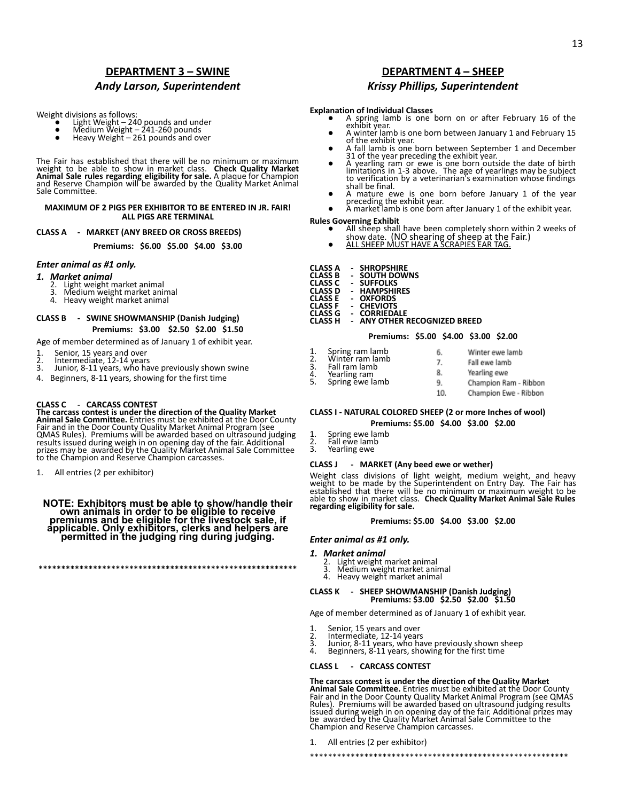# **DEPARTMENT 3 – SWINE** *Andy Larson, Superintendent*

Weight divisions as follows:

- Light Weight 240 pounds and under<br>● Medium Weight 241-260 pounds<br>● Heavy Weight 261 pounds and over
- 
- 

The Fair has established that there will be no minimum or maximum<br>weight to be able to show in market class. Check Quality Market<br>Animal Sale rules regarding eligibility for sale. A plaque for Champion<br>and Reserve Champion Sale Committee.

#### **MAXIMUM OF 2 PIGS PER EXHIBITOR TO BE ENTERED IN JR. FAIR! ALL PIGS ARE TERMINAL**

#### **CLASS A - MARKET (ANY BREED OR CROSS BREEDS)**

**Premiums: \$6.00 \$5.00 \$4.00 \$3.00**

#### *Enter animal as #1 only.*

#### *1. Market animal*

- 
- 2. Light weight market animal 3. Medium weight market animal 4. Heavy weight market animal
- 

### **CLASS B - SWINE SHOWMANSHIP (Danish Judging) Premiums: \$3.00 \$2.50 \$2.00 \$1.50**

Age of member determined as of January 1 of exhibit year.

- 1. Senior, 15 years and over
- 2. Intermediate, 12-14 years<br>3. Junior, 8-11 years, who ha
- Junior, 8-11 years, who have previously shown swine
- 4. Beginners, 8-11 years, showing for the first time

### **CLASS C - CARCASS CONTEST**

**The carcass contest is under the direction of the Quality Market Animal Sale Committee.** Entries must be exhibited at the Door County Fair and in the Door County Quality Market Animal Program (see QMAS Rules). Premiums will be awarded based on ultrasound judging results issued during weigh in on opening day of the fair. Additional prizes may be awarded by the Quality Market Animal Sale Committee to the Champion and Reserve Champion carcasses.

1. All entries (2 per exhibitor)

**NOTE: Exhibitors must be able to show/handle their own animals in order to be eligible to receive premiums and be eligible for the livestock sale, if applicable. Only exhibitors, clerks and helpers are permitted in the judging ring during judging.**

**\*\*\*\*\*\*\*\*\*\*\*\*\*\*\*\*\*\*\*\*\*\*\*\*\*\*\*\*\*\*\*\*\*\*\*\*\*\*\*\*\*\*\*\*\*\*\*\*\*\*\*\*\*\*\*\*\***

## **DEPARTMENT 4 – SHEEP** *Krissy Phillips, Superintendent*

#### **Explanation of Individual Classes**

- A spring lamb is one born on or after February 16 of the exhibit year.
- A winter lamb is one born between January 1 and February 15
- 
- A fall lamb is one born between September 1 and December<br>31 of the year preceding the exhibit year.<br>4 yearling ram or ewe is one born outside the date of birth<br>4 mitations in 1-3 above. The age of yearlings may be subje shall be final.
- A mature ewe is one born before January 1 of the year<br>preceding the exhibit year.<br>● A market lamb is one born after January 1 of the exhibit year.
- 

# **Rules Governing Exhibit**

- All sheep shall have been completely shorn within 2 weeks of<br>show date. (NO shearing of sheep at the Fair.)<br>● ALL SHEEP MUST HAVE A SCRAPIES EAR TAG.
- 

| CLASS A | <b>SHROPSHIRE</b> |
|---------|-------------------|
|         |                   |

| <b>CLASS B</b> | -                        | <b>SOUTH DOWNS</b> |
|----------------|--------------------------|--------------------|
| <b>CLASS C</b> | -                        | <b>SUFFOLKS</b>    |
| <b>CLASS D</b> | $\overline{\phantom{0}}$ | <b>HAMPSHIRES</b>  |

- **CLASS COLAGE**<br>**CLASS CRAMPSHIP**
- **CLASS D - HAMPSHIRES**
- **CLASS E - OXFORDS**
- **CLASS F - CHEVIOTS CLASS G - CORRIEDALE**
- **CLASS H - ANY OTHER RECOGNIZED BREED**
	-
- 1. Spring ram lamb<br>2. Winter ram lamb<br>3. Fall ram lamb
- 
- 
- 
- 10.

### **CLASS I - NATURAL COLORED SHEEP (2 or more Inches of wool) Premiums: \$5.00 \$4.00 \$3.00 \$2.00**

- 1. Spring ewe lamb<br>2. Fall ewe lamb
- 2. Fall ewe lamb<br>3. Yearling ewe Yearling ewe

#### **CLASS J - MARKET (Any beed ewe or wether)**

Weight class divisions of light weight, medium weight, and heavy weight to be made by the Superintendent on Entry Day. The Fair has established that there will be no minimum or maximum weight to be able to show in market class. **Check Quality Market Animal Sale Rules regarding eligibility for sale.**

#### **Premiums: \$5.00 \$4.00 \$3.00 \$2.00**

# *Enter animal as #1 only.*

# *1. Market animal*

- 
- 2. Light weight market animal 3. Medium weight market animal 4. Heavy weight market animal
- 

# **CLASS K - SHEEP SHOWMANSHIP (Danish Judging) Premiums: \$3.00 \$2.50 \$2.00 \$1.50**

Age of member determined as of January 1 of exhibit year.

- 
- 
- 1. Senior, 15 years and over 2. Intermediate, 12-14 years 3. Junior, 8-11 years, who have previously shown sheep 4. Beginners, 8-11 years, showing for the first time
	-

### **CLASS L - CARCASS CONTEST**

The carcass contest is under the direction of the Quality Market<br>Animal Sale Committee. Entries must be exhibited at the Door County<br>Fair and in the Door County Quality Market Animal Program (see QMAS<br>Rules). Premiums will

\*\*\*\*\*\*\*\*\*\*\*\*\*\*\*\*\*\*\*\*\*\*\*\*\*\*\*\*\*\*\*\*\*\*\*\*\*\*\*\*\*\*\*\*\*\*\*\*\*\*\*\*\*\*\*\*\*

1. All entries (2 per exhibitor)

### **Premiums: \$5.00 \$4.00 \$3.00 \$2.00**

- 6.
	-
	- -

Winter ewe lamb Fall ewe lamb

| Yearling ewe          |
|-----------------------|
| Champion Ram - Ribbon |



- 
- 
- 2. Winter ram lamb 3. Fall ram lamb
- 4. Yearling ram 5. Spring ewe lamb
	-
- 7.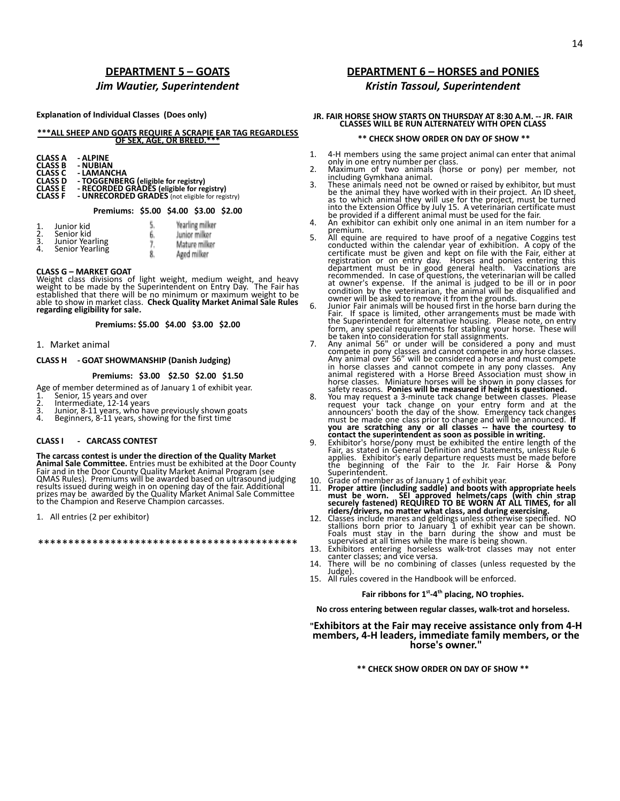## **DEPARTMENT 5 – GOATS** *Jim Wautier, Superintendent*

#### **Explanation of Individual Classes (Does only)**

#### **\*\*\*ALL SHEEP AND GOATS REQUIRE A SCRAPIE EAR TAG REGARDLESS OF SEX, AGE, OR BREED.\***

| <b>CLASS A</b> | - ALPINE                                        |
|----------------|-------------------------------------------------|
| <b>CLASS B</b> | - NUBIAN                                        |
| CLASS C        | - LAMANCHA                                      |
| <b>CLASS D</b> | - TOGGENBERG (eligible for registry)            |
| <b>CLASS E</b> | - RECORDED GRADES (eligible for registry)       |
| <b>CLASS F</b> | - UNRECORDED GRADES (not eligible for registry) |

#### **Premiums: \$5.00 \$4.00 \$3.00 \$2.00**

| Junior milker<br>Mature mil<br>Aged milker |
|--------------------------------------------|
|                                            |

#### **CLASS G – MARKET GOAT**

Weight class divisions of light weight, medium weight, and heavy weight to be made by the Superintendent on Entry Day. The Fair has established that there will be no minimum or maximum weight to be able to show in market class. **Check Quality Market Animal Sale Rules regarding eligibility for sale.**

**Premiums: \$5.00 \$4.00 \$3.00 \$2.00**

#### 1. Market animal

#### **CLASS H - GOAT SHOWMANSHIP (Danish Judging)**

#### **Premiums: \$3.00 \$2.50 \$2.00 \$1.50**

Age of member determined as of January 1 of exhibit year.<br>1. Senior, 15 years and over

- 1. Senior, 15 years and over 2. Intermediate, 12-14 years
- 
- 3. Junior, 8-11 years, who have previously shown goats<br>4 Beginners, 8-11 years, showing for the first time
- Beginners, 8-11 years, showing for the first time

### **CLASS I - CARCASS CONTEST**

**The carcass contest is under the direction of the Quality Market Animal Sale Committee.** Entries must be exhibited at the Door County<br>Fair and in the Door County Quality Market Animal Program (see<br>QMAS Rules). Premiums will be awarded based on ultrasound judging<br>results issued during w to the Champion and Reserve Champion carcasses.

1. All entries (2 per exhibitor)

\*\*\*\*\*\*\*\*\*\*\*\*\*\*\*\*\*\*\*\*\*\*\*\*\*\*\*\*\*\*\*\*\*\*\*\*\*\*\*\*\*\*\*

# **DEPARTMENT 6 – HORSES and PONIES**

## *Kristin Tassoul, Superintendent*

# **JR. FAIR HORSE SHOW STARTS ON THURSDAY AT 8:30 A.M. -- JR. FAIR CLASSES WILL BE RUN ALTERNATELY WITH OPEN CLASS**

#### **\*\* CHECK SHOW ORDER ON DAY OF SHOW \*\***

- 1. 4-H members using the same project animal can enter that animal
- only in one entry number per class. 2. Maximum of two animals (horse or pony) per member, not including Gymkhana animal.
- 3. These animals need not be owned or raised by exhibitor, but must be the animal they have worked with in their project. An ID sheet,<br>as to which animal they will use for the project, must be turned<br>into the Extension Office by July 15. A veterinarian certificate must<br>be provided if a dif
- 
- 5. All equine are required to have proof of a negative Coggins test<br>conducted within the calendar year of exhibition. A copy of the<br>certificate must be given and kept on file with the Fair, either at<br>registration or on ent
- 
- owner will be asked to remove it from the grounds.<br>
6. Junior Fair animals will be housed first in the horse barn during the<br>
Fair. If space is limited, other arrangements must be made with<br>
the Superintendent for alternat
- 8. You may request a 3-minute tack change between classes. Please<br>request your tack change on your entry form and at the<br>announcers' booth the day of the show. Emergency tack changes<br>must be made one class prior to change
- 
- 
- 
- 10. Grade of member as of January 1 of exhibit year.<br>
11. **Proper attire (including saddle) and boots with appropriate heels**<br>
must be worn. **SEI approved helmets/caps (with chin strap**<br> **securely fastened) REQUIRED TO BE**
- 13. Exhibitors entering horseless walk-trot classes may not enter canter classes; and vice versa. 14. There will be no combining of classes (unless requested by the
- Judge).
- 15. All rules covered in the Handbook will be enforced.

### **Fair ribbons for 1st -4th placing, NO trophies.**

**No cross entering between regular classes, walk-trot and horseless.**

### **"Exhibitors at the Fair may receive assistance only from 4-H members, 4-H leaders, immediate family members, or the horse's owner."**

**\*\* CHECK SHOW ORDER ON DAY OF SHOW \*\***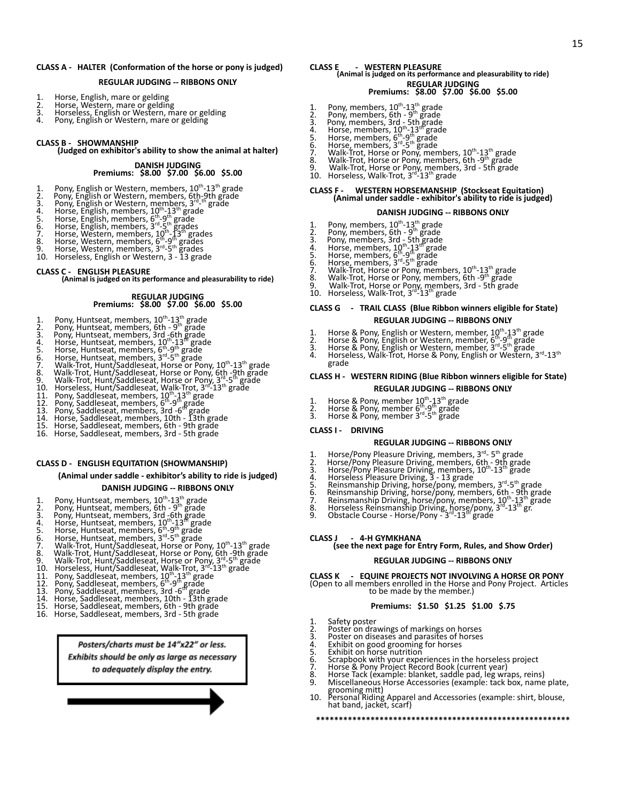#### **CLASS A - HALTER (Conformation of the horse or pony is judged)**

#### **REGULAR JUDGING -- RIBBONS ONLY**

- 
- 1. Horse, English, mare or gelding<br>2. Horse, Western, mare or gelding<br>3. Horseless, English or Western, mare or gelding
- 4. Pony, English or Western, mare or gelding
- 

#### **CLASS B - SHOWMANSHIP**

**(Judged on exhibitor's ability to show the animal at halter)**

#### **DANISH JUDGING Premiums: \$8.00 \$7.00 \$6.00 \$5.00**

- 
- 1. Pony, English or Western, members,  $10^{\text{th}}$ -13<sup>th</sup> grade<br>
2. Pony, English or Western, members, 6th-9th grade<br>
3. Pony, English or Western, members, 3<sup>rd</sup>-9th grade<br>
4. Horse, English, members,  $10^{\text{th}}$ -13<sup>th</sup> grad
- 
- 
- 
- 
- 
- 
- 
- 

#### **CLASS C - ENGLISH PLEASURE**

**(Animal is judged on its performance and pleasurability to ride)**

# **REGULAR JUDGING Premiums: \$8.00 \$7.00 \$6.00 \$5.00**

- 
- 
- 
- 
- 
- 
- 
- 1. Pony, Huntseat, members,  $10^{\text{th}}-13^{\text{th}}$  grade<br>
2. Pony, Huntseat, members,  $6\text{th} 9^{\text{th}}$  grade<br>
3. Pony, Huntseat, members,  $3\text{rd}$   $6\text{th}$  grade<br>
4. Horse, Huntseat, members,  $10^{\text{th}}-13^{\text{th}}$  grade<br>
5.
- 
- 
- 
- 
- 
- 
- 

#### **CLASS D - ENGLISH EQUITATION (SHOWMANSHIP)**

**(Animal under saddle - exhibitor's ability to ride is judged)**

#### **DANISH JUDGING -- RIBBONS ONLY**

- 
- 
- 
- 
- 
- 
- 
- 1. Pony, Huntseat, members,  $10^{\text{th}}-13^{\text{th}}$  grade<br>
2. Pony, Huntseat, members,  $6\text{th} 9^{\text{th}}$  grade<br>
3. Pony, Huntseat, members,  $3\text{rd}$   $6\text{th}$  grade<br>
4. Horse, Huntseat, members,  $10^{\text{th}}-13^{\text{th}}$  grade<br>
5.
- 
- 
- 
- 
- 
- 
- 

Posters/charts must be 14"x22" or less. Exhibits should be only as large as necessary to adequately display the entry.

### **CLASS E - WESTERN PLEASURE**

### **(Animal is judged on its performance and pleasurability to ride) REGULAR JUDGING**

**Premiums: \$8.00 \$7.00 \$6.00 \$5.00**

15

- 
- 
- 
- 
- 
- 
- 1. Pony, members,  $10^{\text{th}}-13^{\text{th}}$  grade<br>
2. Pony, members,  $5\text{rd} 5^{\text{th}}$  grade<br>
3. Pony, members,  $3\text{rd} 5\text{th}$  grade<br>
4. Horse, members,  $10^{\text{th}}-13^{\text{th}}$  grade<br>
5. Horse, members,  $5^{\text{th}}-9^{\text{th}}$  grade<br>
6
- 
- 

# **CLASS F - WESTERN HORSEMANSHIP (Stockseat Equitation) (Animal under saddle - exhibitor's ability to ride is judged)**

#### **DANISH JUDGING -- RIBBONS ONLY**

- 
- 
- 
- 
- 
- 
- 
- 1. Pony, members,  $10^{\text{th}}-13^{\text{th}}$  grade<br>
2. Pony, members,  $5\text{rd} 5^{\text{th}}$  grade<br>
3. Pony, members,  $3\text{rd} 5\text{th}$  grade<br>
4. Horse, members,  $10^{\text{th}}-13^{\text{th}}$  grade<br>
5. Horse, members,  $5^{\text{th}}-9^{\text{th}}$  grade<br>
6
- 

#### **CLASS G - TRAIL CLASS (Blue Ribbon winners eligible for State) REGULAR JUDGING -- RIBBONS ONLY**

- 
- 
- 
- 1. Horse & Pony, English or Western, member, 10<sup>th</sup>-13<sup>th</sup> grade<br>2. Horse & Pony, English or Western, member, 6<sup>th</sup>-9<sup>th</sup> grade<br>3. Horse & Pony, English or Western, member, 3<sup>rd</sup>-5<sup>th</sup> grade<br>4. Horseless, Walk-Trot, Horse grade

#### **CLASS H - WESTERN RIDING (Blue Ribbon winners eligible for State) REGULAR JUDGING -- RIBBONS ONLY**

- 
- 1. Horse & Pony, member 10<sup>th</sup>-13<sup>th</sup> grade<br>2. Horse & Pony, member 6<sup>th</sup>-9<sup>th</sup> grade<br>3. Horse & Pony, member 3<sup>rd</sup>-5<sup>th</sup> grade
- 
- 

#### **CLASS I - DRIVING**

**CLASS J - 4-H GYMKHANA**

#### **REGULAR JUDGING -- RIBBONS ONLY**

- 
- 
- 
- 

1. Safety poster 2. Poster on drawings of markings on horses 3. Poster on diseases and parasites of horses 4. Exhibit on good grooming for horses 5. Exhibit on horse nutrition

- 1. Horse/Pony Pleasure Driving, members,  $3^{rd}$  5<sup>th</sup> grade<br>
2. Horse/Pony Pleasure Driving, members, 6th 9th grade<br>
1. Horse/Pony Pleasure Driving, members, 10<sup>th</sup>-13<sup>th</sup> grade<br>
4. Horseless Pleasure Driving, 3 13 g
- 
- 

**(see the next page for Entry Form, Rules, and Show Order) REGULAR JUDGING -- RIBBONS ONLY CLASS K - EQUINE PROJECTS NOT INVOLVING A HORSE OR PONY** (Open to all members enrolled in the Horse and Pony Project. Articles to be made by the member.)

**Premiums: \$1.50 \$1.25 \$1.00 \$.75**

**\*\*\*\*\*\*\*\*\*\*\*\*\*\*\*\*\*\*\*\*\*\*\*\*\*\*\*\*\*\*\*\*\*\*\*\*\*\*\*\*\*\*\*\*\*\*\*\*\*\*\*\*\*\*\*\***

6. Scrapbook with your experiences in the horseless project 7. Horse & Pony Project Record Book (current year) 8. Horse Tack (example: blanket, saddle pad, leg wraps, reins) 8. Horse Tack (éxample: blanket, saddle pad, lég wraps, reins)<br>9. Miscellaneous Horse Accessories (example: tack box, name plate, grooming mitt) 10. Personal Riding Apparel and Accessories (example: shirt, blouse, hat band, jacket, scarf)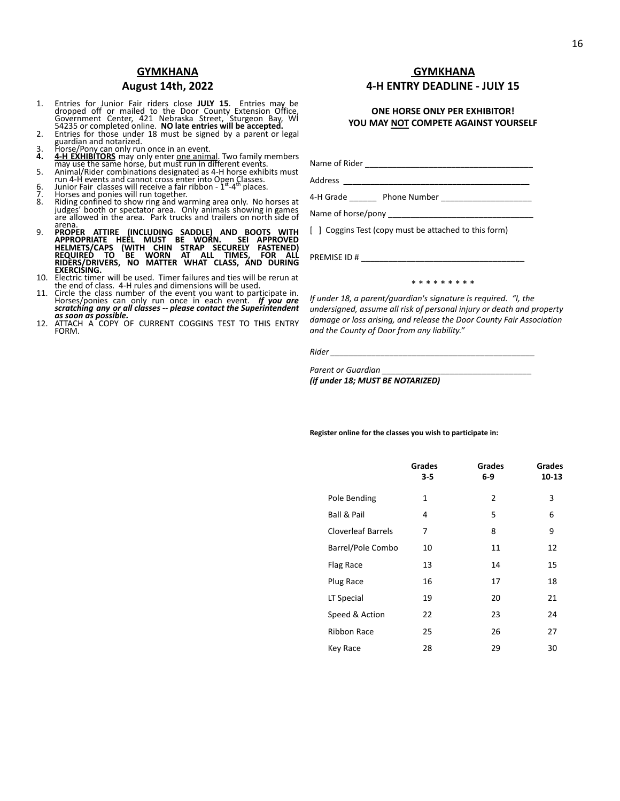## **GYMKHANA**

## **August 14th, 2022**

- 1. Entries for Junior Fair riders close **JULY 15**. Entries may be dropped off or mailed to the Door County Extension Office, Government Center, 421 Nebraska Street, Sturgeon Bay, Wi 54235 or completed online. **NO late entr**
- 
- 
- guardian and notarized.<br> **3.** Horse/Pony can only run once in an event.<br> **4. 4. 4-EXHIBITORS** may only enter <u>one animal</u>. Two family members<br>
may use the same horse, but must run in different events.<br>
5. Animal/Rider co
- 6. Junior Fair classes will receive a fair ribbon  $1<sup>st</sup> 4<sup>th</sup>$  places.
- 6. Junior Fair classes will receive a fair<br>7. Horses and ponies will run together.<br>8. Riding confined to show ring and wa
- Riding confined to show ring and warming area only. No horses at judges' booth or spectator area. Only animals showing in games are allowed in the area. Park trucks and trailers on north side of
- 9. PROPER ATTIRE (INCLUDING SADDLE) AND BOOTS WITH<br>APPROPRIATE HEEL MUST BE WORN. SEI APPROVED<br>HELMETS/CAPS (WITH CHIN STRAP SECURELY FASTENED)<br>REQUIRED TO BE WORN AT ALL TIMES, FOR ALL<br>RIDERS/DRIVERS, NO MATTER WHAT CLASS
- 10. Electric timer will be used. Timer failures and ties will be rerun at the end of class. 4-H rules and dimensions will be used.
- 11. Circle the class number of the event you want to participate in. Horses/ponies can only run once in each event. *If you are scratching any or all classes -- please contact the Superintendent*
- *as soon as possible.* 12. ATTACH A COPY OF CURRENT COGGINS TEST TO THIS ENTRY FORM.

## **GYMKHANA 4-H ENTRY DEADLINE - JULY 15**

## **ONE HORSE ONLY PER EXHIBITOR! YOU MAY NOT COMPETE AGAINST YOURSELF**

Name of Rider \_\_\_\_\_\_\_\_\_\_\_\_\_\_\_\_\_\_\_\_\_\_\_\_\_\_\_\_\_\_\_\_\_\_\_\_\_ Address \_ 4-H Grade **Demon Phone Number** 

Name of horse/pony \_\_\_\_

[ ] Coggins Test (copy must be attached to this form)

PREMISE ID # \_\_\_\_\_\_\_\_\_\_\_\_\_\_\_\_\_\_\_\_\_\_\_\_\_\_\_\_\_\_\_\_\_\_\_\_

\* \* \* \* \* \* \* \*

*If under 18, a parent/guardian's signature is required. "I, the undersigned, assume all risk of personal injury or death and property damage or loss arising, and release the Door County Fair Association and the County of Door from any liability."*

*Rider \_\_\_\_\_\_\_\_\_\_\_\_\_\_\_\_\_\_\_\_\_\_\_\_\_\_\_\_\_\_\_\_\_\_\_\_\_\_\_\_\_\_\_\_\_*

*Parent or Guardian \_\_\_\_\_\_\_\_\_\_\_\_\_\_\_\_\_\_\_\_\_\_\_\_\_\_\_\_\_\_\_\_\_ (if under 18; MUST BE NOTARIZED)*

#### **Register online for the classes you wish to participate in:**

|                           | <b>Grades</b><br>$3 - 5$ | <b>Grades</b><br>6-9 | <b>Grades</b><br>10-13 |
|---------------------------|--------------------------|----------------------|------------------------|
| Pole Bending              | 1                        | 2                    | 3                      |
| Ball & Pail               | 4                        | 5                    | 6                      |
| <b>Cloverleaf Barrels</b> | 7                        | 8                    | 9                      |
| Barrel/Pole Combo         | 10                       | 11                   | 12                     |
| Flag Race                 | 13                       | 14                   | 15                     |
| Plug Race                 | 16                       | 17                   | 18                     |
| LT Special                | 19                       | 20                   | 21                     |
| Speed & Action            | 22                       | 23                   | 24                     |
| <b>Ribbon Race</b>        | 25                       | 26                   | 27                     |
| Key Race                  | 28                       | 29                   | 30                     |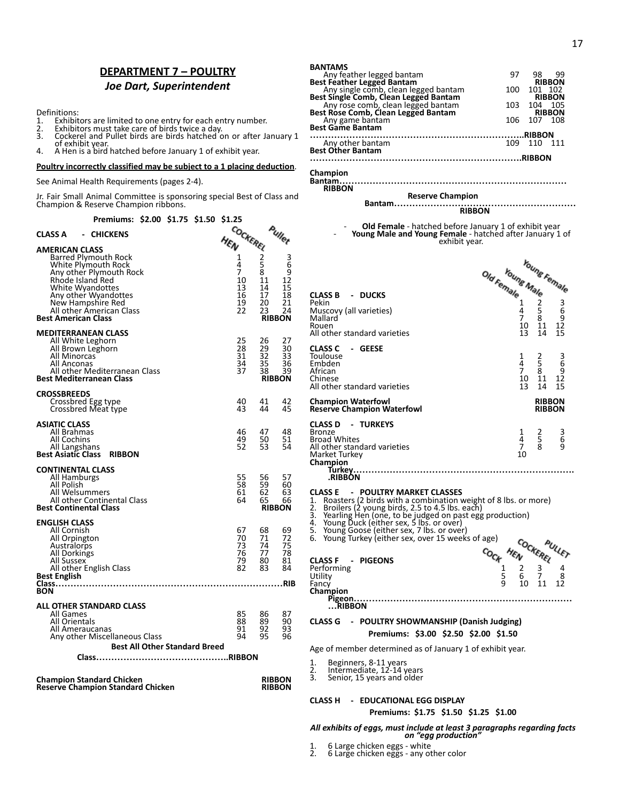# **DEPARTMENT 7 – POULTRY** *Joe Dart, Superintendent*

Definitions:<br>1. Exhibit

- 1. Exhibitors are limited to one entry for each entry number. 2. Exhibitors must take care of birds twice a day.
- 
- 3. Cockerel and Pullet birds are birds hatched on or after January 1 of exhibit year.
- 4. A Hen is a bird hatched before January 1 of exhibit year.

**Poultry incorrectly classified may be subject to a 1 placing deduction**.

See Animal Health Requirements (pages 2-4).

Jr. Fair Small Animal Committee is sponsoring special Best of Class and Champion & Reserve Champion ribbons.

**Premiums: \$2.00 \$1.75 \$1.50 \$1.25**

| CLASS A<br>- CHICKENS                                                                                                                                                                                                                          |                                               | rullet                                           |                                                         |
|------------------------------------------------------------------------------------------------------------------------------------------------------------------------------------------------------------------------------------------------|-----------------------------------------------|--------------------------------------------------|---------------------------------------------------------|
| <b>AMERICAN CLASS</b><br>Barred Plymouth Rock<br>White Plymouth Rock<br>Any other Plymouth Rock<br>Rhode Island Red<br>White Wyandottes<br>Any other Wyandottes<br>New Hampshire Red<br>All other American Class<br><b>Best American Class</b> | HEN CREREL<br>7<br>10<br>13<br>16<br>19<br>22 | 8<br>11<br>14<br>17<br>20<br>23<br><b>RIBBON</b> | $\frac{3}{6}$<br>$\frac{9}{12}$<br>15<br>18<br>21<br>24 |
| <b>MEDITERRANEAN CLASS</b><br>All White Leghorn<br>All Brown Leghorn<br>All Minorcas<br>All Anconas<br>All other Mediterranean Class<br><b>Best Mediterranean Class</b>                                                                        | 25<br>28<br>31<br>34<br>37                    | 26<br>29<br>32<br>35<br>38<br><b>RIBBON</b>      | 27<br>30<br>33<br>36<br>$\overline{3}9$                 |
| <b>CROSSBREEDS</b><br>Crossbred Egg type<br>Crossbred Meat type                                                                                                                                                                                | 40<br>43                                      | 41<br>44                                         | 42<br>45                                                |
| <b>ASIATIC CLASS</b><br>All Brahmas<br>All Cochins<br>All Langshans<br><b>Best Asiatic Class</b><br><b>RIBBON</b>                                                                                                                              | 46<br>49<br>52                                | 47<br>50<br>53                                   | 48<br>51<br>54                                          |
| <b>CONTINENTAL CLASS</b><br>All Hamburgs<br>All Polish<br>All Welsummers<br>All other Continental Class<br><b>Best Continental Class</b>                                                                                                       | 55<br>$\bar{58}$<br>61<br>64                  | 56<br>59<br>62<br>65<br><b>RIBBON</b>            | 57<br>60<br>63<br>66                                    |
| <b>ENGLISH CLASS</b><br>All Cornish<br>All Orpington<br>Australorps<br>All Dorkings<br>All Sussex<br>All other English Class<br><b>Best English</b><br>BON                                                                                     | 67<br>70<br>73<br>76<br>79<br>82              | 68<br>71<br>74<br>77<br>80<br>83                 | 69<br>72<br>75<br>78<br>81<br>84                        |
| <b>ALL OTHER STANDARD CLASS</b><br>All Games<br>All Orientals<br>All Ameraucanas<br>Any other Miscellaneous Class<br><b>Best All Other Standard Breed</b>                                                                                      | 85<br>88<br>91<br>94                          | 86<br>89<br>92<br>95                             | 87<br>90<br>93<br>96                                    |

| <b>Champion Standard Chicken</b>         | <b>RIBBON</b> |
|------------------------------------------|---------------|
| <b>Reserve Champion Standard Chicken</b> | <b>RIBBON</b> |

| <b>BANTAMS</b>                                                                |      |               |               |
|-------------------------------------------------------------------------------|------|---------------|---------------|
| Any feather legged bantam                                                     | 97   |               | 98 99         |
| <b>Best Feather Legged Bantam</b>                                             |      |               | <b>RIBBON</b> |
|                                                                               | 100  | 101 102       |               |
| Any single comb, clean legged bantam<br>Best Single Comb, Clean Legged Bantam |      |               | <b>RIBBON</b> |
| Any rose comb, clean legged bantam                                            | 103. | 104 105       |               |
| Best Rose Comb, Clean Legged Bantam                                           |      |               | <b>RIBBON</b> |
| Any game bantam                                                               |      | 106 107 108   |               |
| <b>Best Game Bantam</b>                                                       |      |               |               |
|                                                                               |      | <b>RIBBON</b> |               |
| Any other bantam<br>Best Other Bantam                                         | 109  | 110           | 111           |
|                                                                               |      |               |               |
|                                                                               |      |               |               |

**Champion**

#### **Bantam…………………………………………………………………** Bantam.....<br>RIBBON

#### **Reserve Champion**

#### **Bantam…………………………………………………… RIBBON**

k

- **Old Female** - hatched before January 1 of exhibit year - **Young Male and Young Female** - hatched after January 1 of exhibit year.

| $4a$ Female $M_{a}$ Female<br>$\frac{1}{4}$ $\frac{2}{5}$<br>$\frac{7}{7}$ $\frac{8}{8}$<br>$\frac{1}{10}$<br>CLASS B - DUCKS<br>Pekin<br>Muscovy (all varieties)<br>Mallard<br>Rouen<br>All other standard varieties | 13                       | 14                             | 15                                                            |
|-----------------------------------------------------------------------------------------------------------------------------------------------------------------------------------------------------------------------|--------------------------|--------------------------------|---------------------------------------------------------------|
| <b>CLASS C</b><br>- GEESE<br>Toulouse<br>Embden<br>African<br>Chinese<br>All other standard varieties                                                                                                                 | 1<br>4<br>7<br>10<br>13  | 2<br>5<br>8<br>11<br>14        | $\begin{array}{c}\n 3 \\  6 \\  9 \\  12\n \end{array}$<br>15 |
| <b>Champion Waterfowl</b><br><b>Reserve Champion Waterfowl</b>                                                                                                                                                        |                          | <b>RIBBON</b><br><b>RIBBON</b> |                                                               |
| <b>CLASS D - TURKEYS</b><br><b>Bronze</b><br><b>Broad Whites</b><br>All other standard varieties<br>Market Turkey<br>Champion<br>Turkey<br>.RIBBÒN                                                                    | 1<br>$\frac{4}{7}$<br>10 | 2<br>5<br>8                    | 3<br>6<br>9                                                   |
| <b>CLASS E</b><br><b>POULTRY MARKET CLASSES</b><br>$\qquad \qquad \blacksquare$                                                                                                                                       |                          |                                |                                                               |

**CLASS E** - **POULTRY MARKET CLASSES**<br>1. Roasters (2 birds with a combination weight of 8 lbs. or more)<br>2. Broilers (2 young birds, 2.5 to 4.5 lbs. each)<br>3. Yearling Hen (one, to be judged on past egg production)<br>4. Young D

- 
- 
- 
- 
- 5. Young Goose (either sex, 7 lbs. or over) 6. Young Turkey (either sex, over 15 weeks of age)
- $\begin{array}{ccc}\n\text{C} \text{LASS F} & \text{PIGEONS} \\
\text{Performing} & \text{PIGEONS} \\
\text{Performing} & \frac{1}{5} & \frac{2}{6} & \frac{3}{4} \\
\text{C} \text{LHSS F} & \text{PIGEONS} & \frac{1}{5} & \frac{2}{6} & \frac{3}{4} \\
\text{D} \text{LHSS F} & \text{D} & \frac{1}{5} & \frac{2}{5} & \frac{3}{5} & \frac{4}{5} \\
\text{LHSS F} & \text{$ PULLET HEN **CLASS F - PIGEONS** Utility 5 6 7 8 **Champion** Fancy 9 10 11 12

### **Pigeon……………………………………………………………… …RIBBON**

### **CLASS G - POULTRY SHOWMANSHIP (Danish Judging) Premiums: \$3.00 \$2.50 \$2.00 \$1.50**

Age of member determined as of January 1 of exhibit year.

- 1. Beginners, 8-11 years 2. Intermediate, 12-14 years
- 3. Senior, 15 years and older
- 

#### **CLASS H - EDUCATIONAL EGG DISPLAY**

#### **Premiums: \$1.75 \$1.50 \$1.25 \$1.00**

# *All exhibits of eggs, must include at least 3 paragraphs regarding facts on "egg production"*

- 
- 1. 6 Large chicken eggs white 2. 6 Large chicken eggs any other color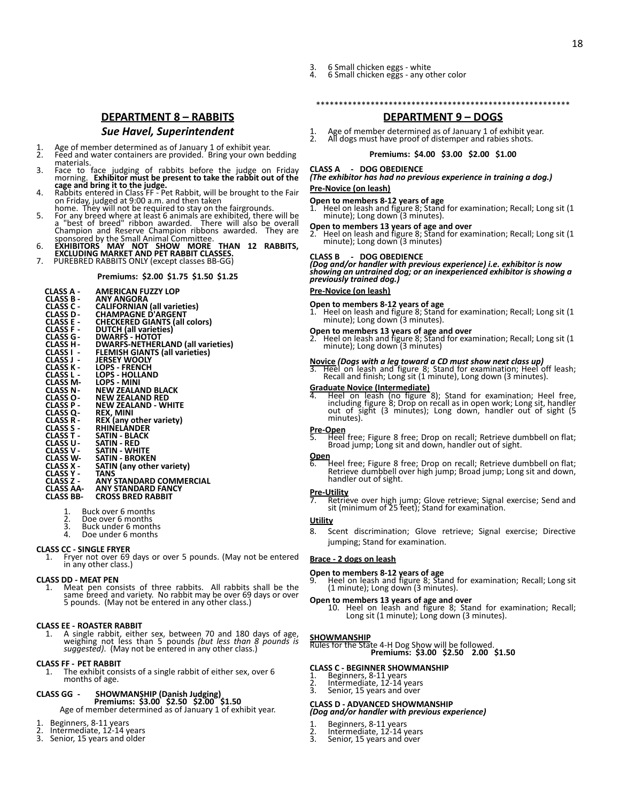- 3. 6 Small chicken eggs white
- 4. 6 Small chicken eggs any other color

# **DEPARTMENT 8 – RABBITS**

## *Sue Havel, Superintendent*

- 1. Age of member determined as of January 1 of exhibit year. 2. Feed and water containers are provided. Bring your own bedding
- materials.<br>Face to face 3. Face to face judging of rabbits before the judge on Friday
- morning. **Exhibitor must be present to take the rabbit out of the<br>cage and bring it to the judge.<br>4. Rabbits entered in Class FF Pet Rabbit, will be brought to the Fair<br>on Friday, judged at 9:00 a.m. and then taken<br>home.**
- 
- 5. For any breed where at least 6 animals are exhibited, there will be<br>a "best of breed" ribbon awarded. There will also be overall<br>Champion and Reserve Champion ribbons awarded. They are<br>sponsored by the Small Animal Comm
- 
- 
- 7. PUREBRED RABBITS ONLY (except classes BB-GG)

#### **Premiums: \$2.00 \$1.75 \$1.50 \$1.25**

- 
- 
- 
- 
- 
- 
- **CLASS A AMERICAN FUZZY LOP<br>CLASS B ANY ANGORA<br>CLASS C CALIFORNIAN (all varieties)<br>CLASS D CHAMPAGNE D'ARGENT<br>CLASS E CHECKERED GIANTS (all colors)<br>CLASS F DUITCH (all varieties)<br>CLASS G DWARFS HOTOT<br>CLASS**
- **CLASS I - FLEMISH GIANTS (all varieties)**
- **CLASS J - JERSEY WOOLY CLASS K - LOPS FRENCH CLASS L - LOPS HOLLAND CLASS M- LOPS MINI**
- 
- 
- **CLASS N- NEW ZEALAND BLACK**
- **CLASS O- NEW ZEALAND RED CLASS P - NEW ZEALAND WHITE**
- 
- 
- **CLASS Q- REX, MINI CLASS R - REX (any other variety) CLASS S - RHINELANDER**
- 
- 
- **CLASS T - SATIN BLACK CLASS U- SATIN RED CLASS V - SATIN WHITE CLASS W- SATIN BROKEN**
- 
- 
- **CLASS X - SATIN (any other variety) CLASS Y -**<br>**CLASS Z -**
- **CLASS Z - ANY STANDARD COMMERCIAL CLASS AA- ANY STANDARD FANCY CLASS BB- CROSS BRED RABBIT**
	- 1. Buck over 6 months<br>2. Doe over 6 months
	- 2. Doe over 6 months 3. Buck under 6 months
	-
	- Doe under 6 months

# **CLASS CC - SINGLE FRYER**<br>1. Fryer not over 69

1. Fryer not over 69 days or over 5 pounds. (May not be entered in any other class.)

#### **CLASS DD - MEAT PEN**

1. Meat pen consists of three rabbits. All rabbits shall be the same breed and variety. No rabbit may be over 69 days or over 5 pounds. (May not be entered in any other class.)

# **CLASS EE - ROASTER RABBIT**<br>1 A single rabbit either

1. A single rabbit, either sex, between 70 and 180 days of age, weighing not less than 5 pounds *(but less than 8 pounds is suggested)*. (May not be entered in any other class.)

#### **CLASS FF - PET RABBIT**

The exhibit consists of a single rabbit of either sex, over 6 months of age.

# **CLASS GG - SHOWMANSHIP (Danish Judging) Premiums: \$3.00 \$2.50 \$2.00 \$1.50**

Age of member determined as of January 1 of exhibit year.

- 1. Beginners, 8-11 years 2. Intermediate, 12-14 years
- 3. Senior, 15 years and older

# **DEPARTMENT 9 – DOGS**

\*\*\*\*\*\*\*\*\*\*\*\*\*\*\*\*\*\*\*\*\*\*\*\*\*\*\*\*\*\*\*\*\*\*\*\*\*\*\*\*\*\*\*\*\*\*\*\*\*\*\*\*\*\*\*\*

1. Age of member determined as of January 1 of exhibit year.<br>2. All dogs must have proof of distemper and rabies shots. All dogs must have proof of distemper and rabies shots.

#### **Premiums: \$4.00 \$3.00 \$2.00 \$1.00**

#### **CLASS A - DOG OBEDIENCE**

# *(The exhibitor has had no previous experience in training a dog.)*

## **Pre-Novice (on leash)**

#### **Open to members 8-12 years of age**

1. Heel on leash and figure 8; Stand for examination; Recall; Long sit (1 minute); Long down (3 minutes).

**Open to members 13 years of age and over** 2. Heel on leash and figure 8; Stand for examination; Recall; Long sit (1 minute); Long down (3 minutes)

#### **CLASS B - DOG OBEDIENCE**

*(Dog and/or handler with previous experience) i.e. exhibitor is now showing an untrained dog; or an inexperienced exhibitor is showing a previously trained dog.)*

#### **Pre-Novice (on leash)**

**Open to members 8-12 years of age** 1. Heel on leash and figure 8; Stand for examination; Recall; Long sit (1 minute); Long down (3 minutes).

**Open to members 13 years of age and over** 2. Heel on leash and figure 8; Stand for examination; Recall; Long sit (1 minute); Long down (3 minutes)

**Novice** *(Dogs with a leg toward a CD must show next class up)* 3. Heel on leash and figure 8; Stand for examination; Heel off leash; Recall and finish; Long sit (1 minute), Long down (3 minutes).

Graduate Novice (Intermediate)<br>4. Heel on leash (no figure 8); Stand for examination; Heel free,<br>including figure 8; Drop on recall as in open work; Long sit, handler<br>out of sight (3 minutes); Long down, handler out of sig minutes).

**Pre-Open** 5. Heel free; Figure 8 free; Drop on recall; Retrieve dumbbell on flat; Broad jump; Long sit and down, handler out of sight.

**Open** 6. Heel free; Figure 8 free; Drop on recall; Retrieve dumbbell on flat; Retrieve dumbbell over high jump; Broad jump; Long sit and down, handler out of sight.

**Pre-Utility** 7. Retrieve over high jump; Glove retrieve; Signal exercise; Send and sit (minimum of 25 feet); Stand for examination.

#### **Utility**

8. Scent discrimination; Glove retrieve; Signal exercise; Directive jumping; Stand for examination.

#### **Brace - 2 dogs on leash**

**Open to members 8-12 years of age** 9. Heel on leash and figure 8; Stand for examination; Recall; Long sit (1 minute); Long down (3 minutes).

**Open to members 13 years of age and over**<br>10. Heel on leash and figure 8; Stand for examination; Recall;<br>Long sit (1 minute); Long down (3 minutes).

#### **SHOWMANSHIP**

Rules for the State 4-H Dog Show will be followed. **Premiums: \$3.00 \$2.50 2.00 \$1.50**

#### **CLASS C - BEGINNER SHOWMANSHIP**

- 1. Beginners, 8-11 years 2. Intermediate, 12-14 years
- 
- 3. Senior, 15 years and over

#### **CLASS D - ADVANCED SHOWMANSHIP** *(Dog and/or handler with previous experience)*

- 
- 2. Intermediate, 12-14 years
- 1. Beginners, 8-11 years<br>2. Intermediate, 12-14 y<br>3. Senior, 15 years and o
- 3. Senior, 15 years and over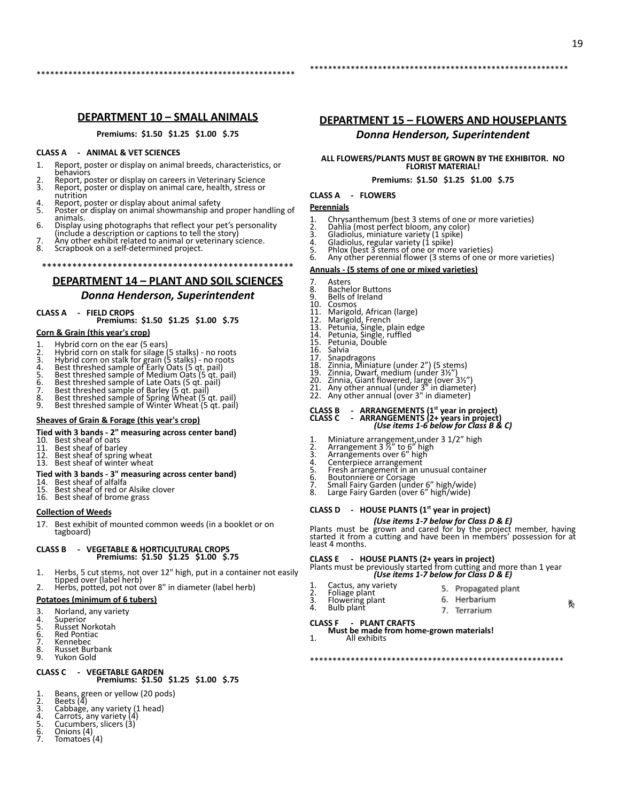## **DEPARTMENT 10 – SMALL ANIMALS**

\*\*\*\*\*\*\*\*\*\*\*\*\*\*\*\*\*\*\*\*\*\*\*\*\*\*\*\*\*\*\*\*\*\*\*\*\*\*\*\*\*\*\*\*\*\*\*\*\*\*\*\*\*\*\*\*\*

**Premiums: \$1.50 \$1.25 \$1.00 \$.75**

#### **CLASS A - ANIMAL & VET SCIENCES**

- 1. Report, poster or display on animal breeds, characteristics, or behaviors
- 2. Report, poster or display on careers in Veterinary Science 3. Report, poster or display on animal care, health, stress or nutrition
- 
- 4. Report, poster or display about animal safety 5. Poster or display on animal showmanship and proper handling of animals.
- 
- 6. Display using photographs that reflect your pet's personality (include a description or captions to tell the story) 7. Any other exhibit related to animal or veterinary science.
- 8. Scrapbook on a self-determined project.
- 

## \*\*\*\*\*\*\*\*\*\*\*\*\*\*\*\*\*\*\*\*\*\*\*\*\*\*\*\*\*\*\*\*\*\*\*\*\*\*\*\*\*\*\*\*\*\*\*\*\*\* **DEPARTMENT 14 – PLANT AND SOIL SCIENCES**

# *Donna Henderson, Superintendent*

### **CLASS A - FIELD CROPS**

**Premiums: \$1.50 \$1.25 \$1.00 \$.75**

#### **Corn & Grain (this year's crop)**

- Hybrid corn on the ear (5 ears)
- 
- 
- 
- 2. Hybrid corn on stalk for silage (5 stalks) no roots<br>3. Hybrid corn on stalk for grain (5 stalks) no roots<br>4. Best threshed sample of Early Oats (5 qt. pail)<br>5. Best threshed sample of Medium Oats (5 qt. pail)<br>6. Bes
- 
- 
- 
- 

### **Sheaves of Grain & Forage (this year's crop)**

### **Tied with 3 bands - 2" measuring across center band)**

- 10. Best sheaf of oats<br>11. Best sheaf of bark
- 11. Best sheaf of barley<br>12. Best sheaf of spring
- 12. Best sheaf of spring wheat<br>13. Best sheaf of winter wheat Best sheaf of winter wheat
- 
- **Tied with 3 bands 3" measuring across center band)**<br>14. Best sheaf of alfalfa<br>15. Best sheaf of red or Alsike clover
- 
- 16. Best sheaf of brome grass

#### **Collection of Weeds**

17. Best exhibit of mounted common weeds (in a booklet or on tagboard)

#### **CLASS B - VEGETABLE & HORTICULTURAL CROPS Premiums: \$1.50 \$1.25 \$1.00 \$.75**

- 1. Herbs, 5 cut stems, not over 12" high, put in a container not easily tipped over (label herb)
- 2. Herbs, potted, pot not over 8" in diameter (label herb)

## **Potatoes (minimum of 6 tubers)**

- 3. Norland, any variety<br>4. Superior
- 4. Superior<br>5. Russet N
- 5. Russet Norkotah
- 6. Red Pontiac<br>7 Kennebec
- 7. Kennebec<br>8. Russet Bui 8. Russet Burbank<br>9. Yukon Gold
- 9. Yukon Gold

#### **CLASS C - VEGETABLE GARDEN Premiums: \$1.50 \$1.25 \$1.00 \$.75**

- 1. Beans, green or yellow (20 pods) 2. Beets (4)
- 
- 3. Cabbage, any variety (1 head) 4. Carrots, any variety (4) 5. Cucumbers, slicers (3)
- 
- 
- 3. Carrots, and<br>5. Cucumber<br>6. Onions (4)<br>7. Tomatoes Tomatoes (4)

## **DEPARTMENT 15 – FLOWERS AND HOUSEPLANTS** *Donna Henderson, Superintendent*

\*\*\*\*\*\*\*\*\*\*\*\*\*\*\*\*\*\*\*\*\*\*\*\*\*\*\*\*\*\*\*\*\*\*\*\*\*\*\*\*\*\*\*\*\*\*\*\*\*\*\*\*\*\*\*\*\*

# **ALL FLOWERS/PLANTS MUST BE GROWN BY THE EXHIBITOR. NO FLORIST MATERIAL!**

#### **Premiums: \$1.50 \$1.25 \$1.00 \$.75**

#### **CLASS A - FLOWERS**

#### **Perennials**

- 1. Chrysanthemum (best 3 stems of one or more varieties) 2. Dahlia (most perfect bloom, any color) 3. Gladiolus, miniature variety (1 spike) 4. Gladiolus, regular variety (1 spike)
- 
- 
- 
- 
- 5. Phlox (best 3 stems of one or more varieties)<br>6. Any other perennial flower (3 stems of one or more varieties)

#### **Annuals - (5 stems of one or mixed varieties)**

- 7. Asters<br>8. Bache<br>9. Bells c
- 8. Bachelor Buttons 9. Bells of Ireland
- 
- 10. Cosmos<br>11. Marigol
- 11. Marigold, African (large) 12. Marigold, French 13. Petunia, Single, plain edge 14. Petunia, Single, ruffled 15. Petunia, Double
- 
- 13. Petun<br>14. Petun<br>15. Petun<br>16. Salvia<br>17. Snapd
- 
- 
- 17. Snapdragons<br>18. Zinnia, Minia
- 
- 
- 18. Zinnia, Miniature (under 2") (5 stems)<br>19. Zinnia, Dwarf, medium (under 3½")<br>20. Zinnia, Giant flowered, large (over 3½")<br>21. Any other annual (over 3" in diameter)<br>22. Any other annual (over 3" in diameter)
- 

# **CLASS B - ARRANGEMENTS (1st year in project) CLASS C - ARRANGEMENTS (2+ years in project)** *(Use items 1-6 below for Class B & C)*

- 
- 
- 
- 1. Miniature arrangement,under 3 1/2" high<br>2. Arrangement 3 ½" to 6" high<br>3. Arrangements over 6" high<br>4. Centerpiece arrangement<br>5. Fresh arrangement in an unusual container
- 
- 
- 6. Boutonniere or Corsage<br>7. Small Fairy Garden (under 6″ high/wide)<br>8. Large Fairy Garden (over 6″ high/wide)

#### **CLASS D - HOUSE PLANTS (1st year in project)**

*(Use items 1-7 below for Class D & E)*<br>Plants must be grown and cared for by the project member, having<br>started it from a cutting and have been in members' possession for at least 4 months.

**CLASS E - HOUSE PLANTS (2+ years in project)** Plants must be previously started from cutting and more than 1 year *(Use items 1-7 below for Class D & E)*

\*\*\*\*\*\*\*\*\*\*\*\*\*\*\*\*\*\*\*\*\*\*\*\*\*\*\*\*\*\*\*\*\*\*\*\*\*\*\*\*\*\*\*\*\*\*\*\*\*\*\*\*\*\*\*\*

- 1. Cactus, any variety<br>2. Foliage plant
	- 2. Foliage plant<br>3. Flowering pla 3. Flowering plant<br>4. Bulb plant Bulb plant

1. All exhibits

- 5. Propagated plant 6. Herbarium
	- 7. Terrarium

賬

# **CLASS F - PLANT CRAFTS Must be made from home-grown materials!**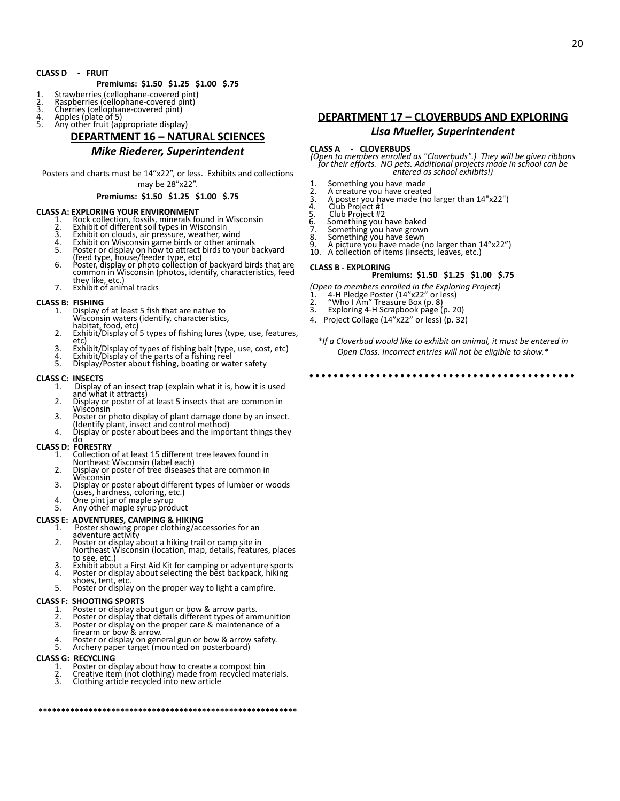#### **CLASS D - FRUIT**

### **Premiums: \$1.50 \$1.25 \$1.00 \$.75**

- 1. Strawberries (cellophane-covered pint)
- 2. Raspberries (cellophane-covered pint) 3. Cherries (cellophane-covered pint)
- 
- 4. Apples (plate of 5)<br>5. Any other fruit (an Any other fruit (appropriate display)

# **DEPARTMENT 16 – NATURAL SCIENCES**

## *Mike Riederer, Superintendent*

Posters and charts must be 14"x22", or less. Exhibits and collections may be 28"x22".

#### **Premiums: \$1.50 \$1.25 \$1.00 \$.75**

#### **CLASS A: EXPLORING YOUR ENVIRONMENT**

1. Rock collection, fossils, minerals found in Wisconsin 2. Exhibit of different soil types in Wisconsin

- 
- 3. Exhibit on clouds, air pressure, weather, wind 4. Exhibit on Wisconsin game birds or other animals
- 
- 5. Poster or display on how to attract birds to your backyard<br>(feed type, house/feeder type, etc)<br>6. Poster, display or photo collection of backyard birds that are<br>common in Wisconsin (photos, identify, characteristics, fe
- they like, etc.)
- 7. Exhibit of animal tracks

- **CLASS B: FISHING**<br>1. Display of at least 5 fish that are native to 1. Display of at least 5 fish that are native to Wisconsin waters (identify, characteristics,
	- habitat, food, etc)
	- 2. Exhibit/Display of 5 types of fishing lures (type, use, features, etc)
	- 3. Exhibit/Display of types of fishing bait (type, use, cost, etc) 4. Exhibit/Display of the parts of a fishing reel 5. Display/Poster about fishing, boating or water safety
	-

- **CLASS C: INSECTS**<br>1. Display Display of an insect trap (explain what it is, how it is used
	- and what it attracts) 2. Display or poster of at least 5 insects that are common in Wisconsin
	- 3. Poster or photo display of plant damage done by an insect. (Identify plant, insect and control method)
	- 4. Display or poster about bees and the important things they

# do **CLASS D: FORESTRY**

- 1. Collection of at least 15 different tree leaves found in Northeast Wisconsin (label each)
- 2. Display or poster of tree diseases that are common in Wisconsin
- 3. Display or poster about different types of lumber or woods (uses, hardness, coloring, etc.) 4. One pint jar of maple syrup 5. Any other maple syrup product
- 
- 

# **CLASS E: ADVENTURES, CAMPING & HIKING**

- Poster showing proper clothing/accessories for an adventure activity
- 2. Poster or display about a hiking trail or camp site in Northeast Wisconsin (location, map, details, features, places to see, etc.)
- 3. Exhibit about a First Aid Kit for camping or adventure sports  $\frac{1}{4}$  Poster or display about selecting the best backpack biking Poster or display about selecting the best backpack, hiking shoes, tent, etc.
- 5. Poster or display on the proper way to light a campfire.

#### **CLASS F: SHOOTING SPORTS**

- 
- 1. Poster or display about gun or bow & arrow parts. 2. Poster or display that details different types of ammunition 3. Poster or display on the proper care & maintenance of a firearm or bow & arrow.
- 
- 4. Poster or display on general gun or bow & arrow safety. 5. Archery paper target (mounted on posterboard)
- 

### **CLASS G: RECYCLING**

- 1. Poster or display about how to create a compost bin<br>2. Creative item (not clothing) made from recycled mat
- 2. Creative item (not clothing) made from recycled materials.<br>3. Clothing article recycled into new article

**\*\*\*\*\*\*\*\*\*\*\*\*\*\*\*\*\*\*\*\*\*\*\*\*\*\*\*\*\*\*\*\*\*\*\*\*\*\*\*\*\*\*\*\*\*\*\*\*\*\*\*\*\*\*\*\*\***

**DEPARTMENT 17 – CLOVERBUDS AND EXPLORING** *Lisa Mueller, Superintendent*

**CLASS A CLOVERBUDS**<br>(Open to members enrolled as "Cloverbuds".) They will be given ribbons<br>for their efforts. NO pets. Additional projects made in school can be<br>entered as school exhibits!)

- 1. Something you have made 2. A creature you have created
- 
- 3. A poster you have made (no larger than 14"x22") 4. Club Project #1 5. Club Project #2
- 
- 
- 
- 6. Something you have baked 7. Something you have grown 8. Something you have sewn
- 9. A picture you have made (no larger than  $14"x22"$ )<br>10. A collection of items (insects, leaves, etc.)
- A collection of items (insects, leaves, etc.)

#### **CLASS B - EXPLORING**

# **Premiums: \$1.50 \$1.25 \$1.00 \$.75**

- *(Open to members enrolled in the Exploring Project)* 1. 4-H Pledge Poster (14"x22" or less) 2. "Who I Am" Treasure Box (p. 8)
- 
- 3. Exploring 4-H Scrapbook page (p. 20)
- 4. Project Collage (14"x22" or less) (p. 32)
	- *\*If a Cloverbud would like to exhibit an animal, it must be entered in Open Class. Incorrect entries will not be eligible to show.\**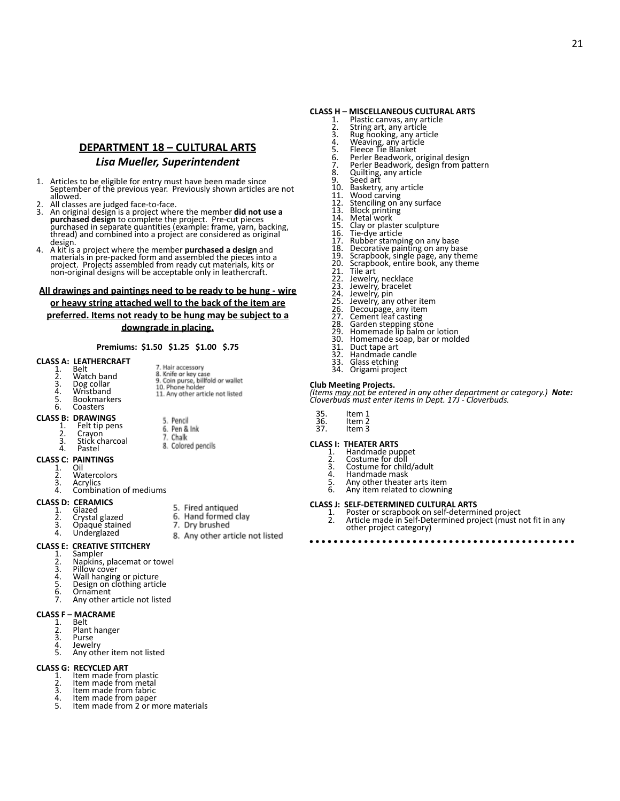# **DEPARTMENT 18 – CULTURAL ARTS**

# *Lisa Mueller, Superintendent*

- 1. Articles to be eligible for entry must have been made since September of the previous year. Previously shown articles are not allowed.
- 
- 2. All classes are judged face-to-face.<br>3. An original design is a project where the member **did not use a**<br>**purchased design t**o complete the project. Pre-cut pieces<br>purchased in separate quantities (example: frame, yarn, design.
- 4. A kit is a project where the member **purchased a design** and materials in pre-packed form and assembled the pieces into a project. Projects assembled from ready cut materials, kits or non-original designs will be acceptable only in leathercraft.

#### **All drawings and paintings need to be ready to be hung - wire**

**or heavy string attached well to the back of the item are preferred. Items not ready to be hung may be subject to a downgrade in placing.**

#### **Premiums: \$1.50 \$1.25 \$1.00 \$.75**

### **CLASS A: LEATHERCRAFT**

|    | 99 A. LLAIILININAI I |                                                           |
|----|----------------------|-----------------------------------------------------------|
|    | Belt                 | 7. Hair accessory                                         |
| 2. | Watch band           | 8. Knife or key case<br>9. Coin purse, billfold or wallet |
| 3. | Dog collar           | 10. Phone holder                                          |
| 4. | Wristband            | 11. Any other article not listed                          |
| 5. | <b>Bookmarkers</b>   |                                                           |
|    |                      |                                                           |

6. Coasters

# **CLASS B: DRAWINGS**

- 5. Pencil 1. Felt tip pens<br>2. Cravon 6. Pen & Ink 7. Chalk
- 2. Crayon 3. Stick charcoal
- 4. Pastel
- **CLASS C: PAINTINGS**
	- 1. Oil<br>2 Wa
	- 2. Watercolors<br>3 Acrylics
	- 3. Acrylics<br>4 Combin Combination of mediums

#### **CLASS D: CERAMICS**

- 1. Glazed<br>2 Crystal
- 2. Crystal glazed<br>3. Opaque staine 3. Opaque stained
- 4. Underglazed

#### **CLASS E: CREATIVE STITCHERY**

- 1. Sampler<br>2 Nankins
- 2. Napkins, placemat or towel<br>3. Pillow cover
- 2. Pillow cover<br>3. Pillow cover<br>4. Wall hanging
- 4. Wall hanging or picture 5. Design on clothing article
- 
- 6. Ornament Any other article not listed
- 

# **CLASS F – MACRAME**

- 1. Belt<br>2. Plan 2. Plant hanger<br>3. Purse
- 3. Purse<br>4 lewel
- 4. Jewelry<br>5 Any oth
- Any other item not listed

## **CLASS G: RECYCLED ART**

- 1. Item made from plastic<br>2. Item made from metal
- 2. Item made from metal<br>3. Item made from fabric
- 3. Item made from fabric<br>4. Item made from paper
- 4. Item made from paper 5. Item made from 2 or more materials

# **CLASS H – MISCELLANEOUS CULTURAL ARTS**

- 1. Plastic canvas, any article<br>2. String art, any article
- 2. String art, any article 3. Rug hooking, any article 4. Weaving, any article 5. Fleece Tie Blanket
- 
- 
- 
- 6. Perler Beadwork, original design 7. Perler Beadwork, design from pattern
- 8. Quilting, any article<br>9. Seed art
- 
- 9. Seed art<br>10. Basketry
- 
- 10. Basketry, any article 11. Wood carving 12. Stenciling on any surface 13. Block printing
- 
- 14. Metal work<br>15. Clay or plast
- 15. Clay or plaster sculpture 16. Tie-dye article
- 
- 
- 17. Rubber stamping on any base 18. Decorative painting on any base 19. Scrapbook, single page, any theme 20. Scrapbook, entire book, any theme
- 
- 
- 21. Tile art<br>22. Jewelry
- 22. Jewelry, necklace 23. Jewelry, bracelet
- 
- 24. Jewelrý, pin<br>25. Jewelry, any other item
- 26. Decoupage, any item<br>27. Cement leaf casting
- 
- 28. Garden stepping stone 29. Homemade lip balm or lotion
- 
- 23. Homemade hp bann of fotion<br>30. Homemade soap, bar or molded<br>31. Duct tape art
- 31. Duct tape art<br>32. Handmade ca Handmade candle
- 

# 33. Glass etching 34. Origami project

#### **Club Meeting Projects.**

*(Items may not be entered in any other department or category.) Note: Cloverbuds must enter items in Dept. 17J - Cloverbuds.*

| 35. | Item |  |
|-----|------|--|
|     |      |  |

- 35. Item 1 36. Item 2 36. Item 2<br>37. Item 3
- 

# **CLASS I: THEATER ARTS**<br>1. Handmade put

- 1. Handmade puppet
- 2. Costume for doll<br>3. Costume for child
- 3. Costume for child/adult<br>4. Handmade mask
- 4. Handmade mask<br>5 Any other theate
- 5. Any other theater arts item<br>6. Any item related to clownin Any item related to clowning

### **CLASS J: SELF-DETERMINED CULTURAL ARTS**

1. Poster or scrapbook on self-determined project 2. Article made in Self-Determined project (must not fit in any other project category)

. . . . . 

6. Hand formed clay 7. Dry brushed 8. Any other article not listed

5. Fired antiqued

8. Colored pencils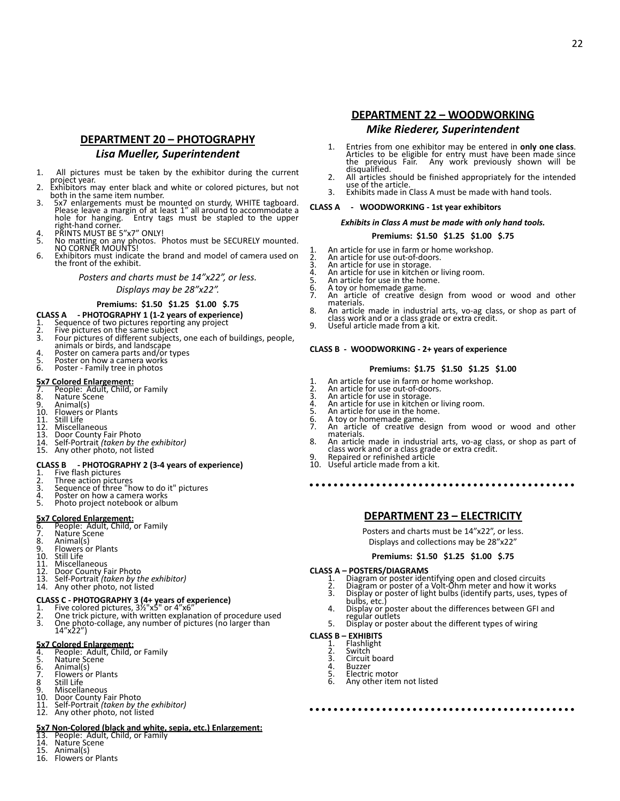# **DEPARTMENT 20 – PHOTOGRAPHY**

### *Lisa Mueller, Superintendent*

- 1. All pictures must be taken by the exhibitor during the current project year.
- 2. Exhibitors may enter black and white or colored pictures, but not both in the same item number.
- 3. 5x7 enlargements must be mounted on sturdy, WHITE tagboard. Please leave a margin of at least 1" all around to accommodate a<br>hole for hanging. Entry tags must be stapled to the upper Entry tags must be stapled to the upper right-hand corner. 4. PRINTS MUST BE 5"x7" ONLY!
- 
- 5. No matting on any photos. Photos must be SECURELY mounted. NO CORNER MOUNTS!
- 6. Exhibitors must indicate the brand and model of camera used on the front of the exhibit.

*Posters and charts must be 14"x22", or less.*

#### *Displays may be 28"x22".*

#### **Premiums: \$1.50 \$1.25 \$1.00 \$.75**

- **CLASS A PHOTOGRAPHY 1 (1-2 years of experience)**
- 1. Sequence of two pictures reporting any project 2. Five pictures on the same subject
- 
- 3. Four pictures of different subjects, one each of buildings, people, animals or birds, and landscape
- 4. Poster on camera parts and/or types 5. Poster on how a camera works
- 6. Poster Family tree in photos

- **5x7 Colored Enlargement:** 7. People: Adult, Child, or Family 8. Nature Scene
- 
- 9. Animal(s)<br>10 Flowers of
- 10. Flowers or Plants<br>11. Still Life
- 
- **Miscellaneous**
- 
- 13. Door County Fair Photo 14. Self-Portrait *(taken by the exhibitor)* 15. Any other photo, not listed
- 

# **CLASS B - PHOTOGRAPHY 2 (3-4 years of experience)**

- 1. Five flash pictures
- 2. Three action pictures<br>3. Sequence of three "he
- 3. Sequence of three "how to do it" pictures<br>4. Poster on how a camera works
- 4. Poster on how a camera works<br>5. Photo project notebook or albi Photo project notebook or album

- **5x7 Colored Enlargement:** 6. People: Adult, Child, or Family
- 
- 7. Nature Scene<br>8. Animal(s)
- 8. Animal(s)<br>9 Flowers o 9. Flowers or Plants
- 
- 10. Still Life<br>11. Miscella
- 11. Miscellaneous<br>12. Door County E
- 12. Door County Fair Photo 13. Self-Portrait *(taken by the exhibitor)*
- 14. Any other photo, not listed

- **CLASS C PHOTOGRAPHY 3 (4+ years of experience)** 1. Five colored pictures, 3½"x5" or 4"x6" 2. One trick picture, with written explanation of procedure used
- 3. One photo-collage, any number of pictures (no larger than<br>14"x22")

- **5x7 Colored Enlargement:** 4. People: Adult, Child, or Family 5. Nature Scene
- 
- 6. Animal(s)<br>7. Flowers of
- $\overline{7}$ . Flowers or Plants
- 8 Still Life<br>9. Miscella
- 9. Miscellaneous<br>10. Door County F.
- 10. Door County Fair Photo 11. Self-Portrait *(taken by the exhibitor)* 12. Any other photo, not listed
- 

# **5x7 Non-Colored (black and white, sepia, etc.) Enlargement:** 13. People: Adult, Child, or Family 14. Nature Scene

- 
- 
- 15. Animal(s)
- **Flowers or Plants**

## **DEPARTMENT 22 – WOODWORKING** *Mike Riederer, Superintendent*

1. Entries from one exhibitor may be entered in **only one class**. Articles to be eligible for entry must have been made since the previous Fair. Any work previously shown will be disqualified.

22

- 2. All articles should be finished appropriately for the intended use of the article.
- 3. Exhibits made in Class A must be made with hand tools.

#### **CLASS A - WOODWORKING - 1st year exhibitors**

#### *Exhibits in Class A must be made with only hand tools.*

#### **Premiums: \$1.50 \$1.25 \$1.00 \$.75**

1. An article for use in farm or home workshop.<br>2. An article for use out-of-doors.

- 2. An article for use out-of-doors. 3. An article for use in storage.
- 4. An article for use in kitchen or living room.<br>5. An article for use in kitchen or living room.
- 5. An article for use in the home.<br>6. A toy or homemade game.
- 6. A toy or homemade game. An article of creative design from wood or wood and other
- materials.
- 8. An article made in industrial arts, vo-ag class, or shop as part of class work and or a class grade or extra credit.
- 9. Useful article made from a kit.

#### **CLASS B - WOODWORKING - 2+ years of experience**

#### **Premiums: \$1.75 \$1.50 \$1.25 \$1.00**

- 1. An article for use in farm or home workshop.<br>2. An article for use out-of-doors
- 2. An article for use out-of-doors.<br>3. An article for use in storage.
- 
- 3. An article for use in storage. 4. An article for use in kitchen or living room.
- 
- 6. A toy or homemade game.
- 5. An article for use in the home.<br>6. A toy or homemade game.<br>7. An article of creative design 7. An article of creative design from wood or wood and other materials.
- 8. An article made in industrial arts, vo-ag class, or shop as part of class work and or a class grade or extra credit. 9. Repaired or refinished article
- 
- 10. Useful article made from a kit.

## **DEPARTMENT 23 – ELECTRICITY**

Posters and charts must be 14"x22", or less. Displays and collections may be 28"x22"

#### **Premiums: \$1.50 \$1.25 \$1.00 \$.75**

- **CLASS A POSTERS/DIAGRAMS**<br>1. Diagram or poster ider<br>2. Diagram or poster of a 1. Diagram or poster identifying open and closed circuits 2. Diagram or poster of a Volt-Ohm meter and how it works
	-
	- 3. Display or poster of light bulbs (identify parts, uses, types of bulbs, etc.) 4. Display or poster about the differences between GFI and
	- regular outlets
	- 5. Display or poster about the different types of wiring

# **CLASS B – EXHIBITS**<br>1. Flashlight<br>2. Switch

- Flashlight 2. Switch<br>3. Circuit
- 3. Circuit board<br>4. Buzzer 4. Buzzer<br>5 Flectric 5. Electric motor<br>6. Any other item

6. Any other item not listed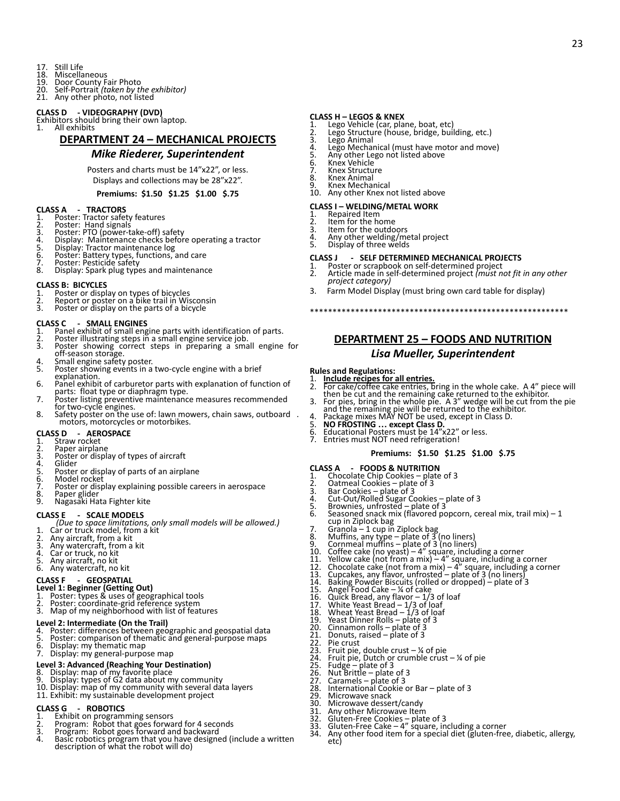- 17. Still Life<br>18. Miscella
- 18. Miscellaneous<br>19. Door County Fa
- 
- 19. Door County Fair Photo 20. Self-Portrait *(taken by the exhibitor)* 21. Any other photo, not listed

#### **CLASS D - VIDEOGRAPHY (DVD)**

Exhibitors should bring their own laptop. 1. All exhibits

### **DEPARTMENT 24 – MECHANICAL PROJECTS**

#### *Mike Riederer, Superintendent*

Posters and charts must be 14"x22", or less. Displays and collections may be 28"x22".

#### **Premiums: \$1.50 \$1.25 \$1.00 \$.75**

- **CLASS A - TRACTORS** 1. Poster: Tractor safety features 2. Poster: Hand signals
- 
- 
- 3. Poster: PTO (power-take-off) safety 4. Display: Maintenance checks before operating a tractor 5. Display: Tractor maintenance log 6. Poster: Battery types, functions, and care 7. Poster: Pesticide safety
- 
- 
- 8. Display: Spark plug types and maintenance

#### **CLASS B: BICYCLES**

- 
- 1. Poster or display on types of bicycles 2. Report or poster on a bike trail in Wisconsin 3. Poster or display on the parts of a bicycle
- 

#### **CLASS C - SMALL ENGINES**

- Panel exhibit of small engine parts with identification of parts.
- 2. Poster illustrating steps in a small engine service job.<br>3. Poster showing correct steps in preparing a small
- Poster showing correct steps in preparing a small engine for off-season storage.
- 4. Small engine safety poster. 5. Poster showing events in a two-cycle engine with a brief
- explanation.
- 6. Panel exhibit of carburetor parts with explanation of function of
- 
- parts: float type or diaphragm type.<br>7. Poster listing preventive maintenance measures recommended<br>for two-cycle engines.<br>8. Safety poster on the use of: lawn mowers, chain saws, outboard.<br>motors, motorcycles or motorbikes

## **CLASS D - AEROSPACE**

- Straw rocket
- 2. Paper airplane<br>3. Poster or displ
- 3. Poster or display of types of aircraft
- 4. Glider<br>5. Poster
- 5. Poster or display of parts of an airplane<br>6. Model rocket
- 6. Model rocket<br>7. Poster or disr 7. Poster or display explaining possible careers in aerospace
- 8. Paper glider<br>8. Paper glider<br>9. Nagasaki Ha
- 9. Nagasaki Hata Fighter kite

#### **CLASS E - SCALE MODELS**

- *(Due to space limitations, only small models will be allowed.)*
- 1. Car or truck model, from a kit
- 2. Any aircraft, from a kit<br>3. Any watercraft, from a
- 3. Any watercraft, from a kit 4. Car or truck, no kit 5. Any aircraft, no kit
- 
- 6. Any watercraft, no kit
- 

# **CLASS F - GEOSPATIAL**

- 
- **Level 1: Beginner (Getting Out)**<br>1. Poster: types & uses of geographical tools<br>2. Poster: coordinate-grid reference system
- 3. Map of my neighborhood with list of features

- **Level 2: Intermediate (On the Trail)** 4. Poster: differences between geographic and geospatial data 5. Poster: comparison of thematic and general-purpose maps
- 
- 6. Display: my thematic map
- 7. Display: my general-purpose map

#### **Level 3: Advanced (Reaching Your Destination)**

- 
- 
- 8. Display: map of my favorite place<br>9. Display: types of G2 data about my community<br>10. Display: map of my community with several data layers<br>11. Exhibit: my sustainable development project
- 

- 
- **CLASS G ROBOTICS<br>1. Exhibit on programming sensors<br>2. Program: Robot that goes forward for 4 seconds<br>3. Program: Robot goes forward and backward**
- 4. Basic robotics program that you have designed (include a written description of what the robot will do)

# **CLASS H – LEGOS & KNEX**

- 
- 1. Lego Vehicle (car, plane, boat, etc) 2. Lego Structure (house, bridge, building, etc.) 3. Lego Animal
- 
- 4. Lego Mechanical (must have motor and move)<br>5. Any other Lego not listed above
- 5. Any other Lego not listed above<br>6. Knex Vehicle
- 6. Knex Vehicle<br>7. Knex Structu
- 7. Knex Structure<br>8. Knex Animal<br>9. Knex Mechanic
- 8. Knex Animal 9. Knex Mechanical
- 10. Any other Knex not listed above

### **CLASS I – WELDING/METAL WORK**

- **Item for the home**
- 1. Repaired Item<br>2. Item for the has<br>3. Item for the or
- 3. Item for the outdoors<br>4. Any other welding/me 4. Any other welding/metal project<br>5. Display of three welds
- Display of three welds

#### **CLASS J - SELF DETERMINED MECHANICAL PROJECTS**

1. Poster or scrapbook on self-determined project 2. Article made in self-determined project *(must not fit in any other project category)*

23

- 3. Farm Model Display (must bring own card table for display)
	- **DEPARTMENT 25 FOODS AND NUTRITION**

\*\*\*\*\*\*\*\*\*\*\*\*\*\*\*\*\*\*\*\*\*\*\*\*\*\*\*\*\*\*\*\*\*\*\*\*\*\*\*\*\*\*\*\*\*\*\*\*\*\*\*\*\*\*\*\*\*

### *Lisa Mueller, Superintendent*

#### **Rules and Regulations:**

- 
- 1. **Include recipes for all entries.**<br>
2. For cake/coffee cake entries, bring in the whole cake. A 4" piece will<br>
then be cut and the remaining pake returned to the exhibitor.<br>
3. For pies, bring in the whole pie. A 3" we
- 
- 
- 
- 5. **NO FROSTING … except Class D.** 6. Educational Posters must be 14"x22" or less. 6. Educational Posters must be 14"x22"<br>7. Entries must NOT need refrigeration!
- 

#### **Premiums: \$1.50 \$1.25 \$1.00 \$.75**

- **CLASS A - FOODS & NUTRITION** 1. Chocolate Chip Cookies plate of 3
- 
- 
- 2. Oatmeal Cookies plate of 3<br>
3. Bar Cookies plate of 3<br>
4. Cut-Out/Rolled Sugar Cookies plate of 3<br>
5. Brownies, unfrosted plate of 3<br>
6. Seasoned snack mix (flavored popcorn, cereal mix, trail mix) 1<br>
cup in Z

23. Fruit pie, double crust – ¼ of pie 24. Fruit pie, Dutch or crumble crust – ¼ of pie 25. Fudge – plate of 3 26. Nut Brittle – plate of 3 27. Caramels – plate of 3

31. Any other Microwave Item 32. Gluten-Free Cookies – plate of 3 33. Gluten-Free Cake – 4" square, including a corner

34. Any other food item for a special diet (gluten-free, diabetic, allergy,

28. International Cookie or Bar – plate of 3<br>29. Microwave snack

29. Microwave snack<br>30. Microwave dessei 30. Microwave dessert/candy<br>31. Any other Microwave Iten

etc)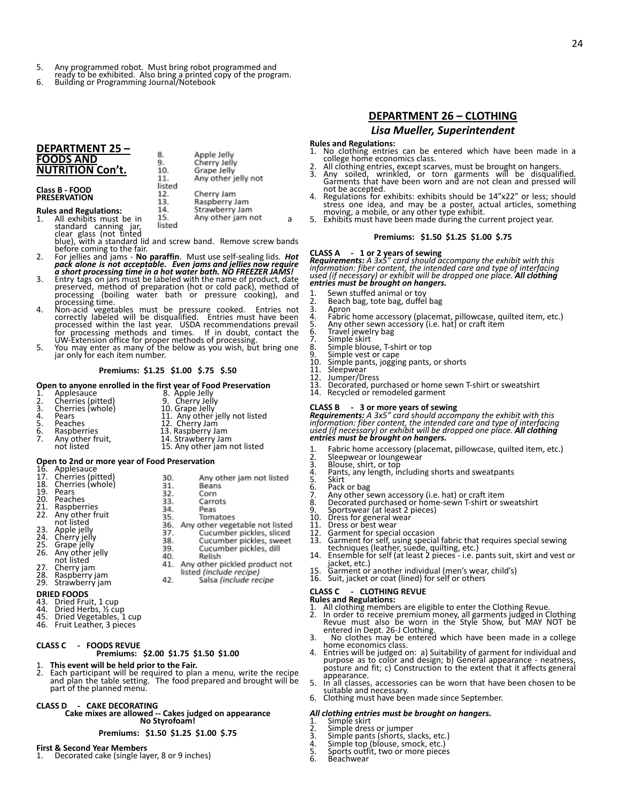- 
- 5. Any programmed robot. Must bring robot programmed and ready to be exhibited. Also bring a printed copy of the program. 6. Building or Programming Journal/Notebook

8.

9.

10.

11. listed 12.

13.

14.

Apple Jelly

Cherry Jelly

Grape Jelly Any other jelly not

Cherry Jam

Raspberry Jam

Strawberry Jam

### **DEPARTMENT 25 – FOODS AND NUTRITION Con't.**

**Class B - FOOD PRESERVATION**

# **Rules and Regulations:**

s and regulations.<br>All exhibits must be in a fact a property and a fact and a standard canning jarity listed standard canning jar, clear glass (not tinted

- blue), with a standard lid and screw band. Remove screw bands<br>before coming to the fair.<br>2. For jellies and jams No paraffin. Must use self-sealing lids. *Hot*<br>pack alone is not acceptable. Even jams and jellies now requ
- 
- 3. Entry tags on jars must be labeled with the name of product, date<br>preserved, method of preparation (hot or cold pack), method of<br>processing (boiling water bath or pressure cooking), and<br>processing time.<br>4. Non-acid vege
- 

#### **Premiums: \$1.25 \$1.00 \$.75 \$.50**

#### **Open to anyone enrolled in the first year of Food Preservation**

|                 |                   | open to anyone emonea in the mot year or room reservation |
|-----------------|-------------------|-----------------------------------------------------------|
|                 | Applesauce        | 8. Apple Jelly                                            |
| $\frac{1}{2}$ . | Cherries (pitted) | 9. Cherry Jelly                                           |
| 3.              | Cherries (whole)  | 10. Grape Jelly                                           |
| 4.              | Pears             | 11. Any other jelly not listed                            |
| 5.              | Peaches           | 12. Cherry Jam                                            |

5. Peaches 12. Cherry Jam<br>
6. Raspberries 13. Raspberry Jam<br>
7. Any other fruit, 14. Strawberry J Raspberries 13. Raspberry Jam<br>
Any other fruit, 14. Strawberry Jan<br>
not listed 15. Any other jam

7. Any other fruit, 14. Strawberry Jam not listed 15. Any other jam not listed

# **Open to 2nd or more year of Food Preservation**

| 16.<br>17.<br>18.<br>19.<br>20.<br>21.<br>22.<br>23.<br>24.<br>25.<br>26.<br>27.<br>28.<br>29. | Applesauce<br>Cherries (pitted)<br>Cherries (whole)<br>Pears<br>Peaches<br>Raspberries<br>Any other fruit<br>not listed<br>Apple jelly<br>Cherry jelly<br>Grape jelly<br>Any other jelly<br>not listed<br>Cherry jam<br>Raspberry jam<br>Strawberry jam | 30.<br>31.<br>32.<br>33.<br>34.<br>35.<br>36.<br>37.<br>38.<br>39.<br>40.<br>41.<br>42. | Any other jam not listed<br>Beans<br>Corn<br>Carrots<br>Peas<br>Tomatoes<br>Any other vegetable not listed<br>Cucumber pickles, sliced<br>Cucumber pickles, sweet<br>Cucumber pickles, dill<br>Relish<br>Any other pickled product not<br>listed (include recipe)<br>Salsa (include recipe |
|------------------------------------------------------------------------------------------------|---------------------------------------------------------------------------------------------------------------------------------------------------------------------------------------------------------------------------------------------------------|-----------------------------------------------------------------------------------------|--------------------------------------------------------------------------------------------------------------------------------------------------------------------------------------------------------------------------------------------------------------------------------------------|
|                                                                                                | <b>DRIED FOODS</b><br>13 Dried Fruit 1 cup                                                                                                                                                                                                              |                                                                                         |                                                                                                                                                                                                                                                                                            |
|                                                                                                |                                                                                                                                                                                                                                                         |                                                                                         |                                                                                                                                                                                                                                                                                            |

- 
- 43. Dried Fruit, 1 cup 44. Dried Herbs, ½ cup 45. Dried Vegetables, 1 cup
- 46. Fruit Leather, 3 pieces
- 

### **CLASS C - FOODS REVUE**

### **Premiums: \$2.00 \$1.75 \$1.50 \$1.00**

- 
- 1. **This event will be held prior to the Fair.** 2. Each participant will be required to plan a menu, write the recipe and plan the table setting. The food prepared and brought will be part of the planned menu.

#### **CLASS D - CAKE DECORATING**

**Cake mixes are allowed -- Cakes judged on appearance No Styrofoam!**

#### **Premiums: \$1.50 \$1.25 \$1.00 \$.75**

#### **First & Second Year Members**

1. Decorated cake (single layer, 8 or 9 inches)

# **DEPARTMENT 26 – CLOTHING** *Lisa Mueller, Superintendent*

- **Rules and Regulations:** No clothing entries can be entered which have been made in a college home economics class.
- 
- 2. All clothing entries, except scarves, must be brought on hangers. 3. Any soiled, wrinkled, or torn garments will be disqualified. Garments that have been worn and are not clean and pressed will not be accepted.
- 4. Regulations for exhibits: exhibits should be 14"x22" or less; should stress one idea, and may be a poster, actual articles, something moving, a mobile, or any other type exhibit. 5. Exhibits must have been made during the current project year.
- 

#### **Premiums: \$1.50 \$1.25 \$1.00 \$.75**

**CLASS A 1 or 2 years of sewing**<br>**Requirements:** A 3x5″ card should accompany the exhibit with this<br>information: fiber content, the intended care and type of interfacing<br>used (if necessary) or exhibit will be drop *entries must be brought on hangers.*

- 1. Sewn stuffed animal or toy<br>2. Beach bag, tote bag, duffel
	-
- **Apron**
- 2. Beach bag, tote bag, duffel bag<br>3. Apron<br>4. Fabric home accessory (placem<br>5. Any other sewn accessory (i.e. 4. Fabric home accessory (placemat, pillowcase, quilted item, etc.) 5. Any other sewn accessory (i.e. hat) or craft item
- 
- 6. Travel jewelry bag 7. Simple skirt
- 8. Travel jewelry bag<br>8. Simple skirt<br>8. Simple skirt<br>8. Simple blouse, T-shirt or top<br>9. Simple vest or cane
- 
- 9. Simple vest or cape<br>10. Simple pants, joggir 10. Simple pants, jogging pants, or shorts<br>11. Sleepwear<br>12. Jumper/Dress
- **Sleepwear**
- 12. Jumper/Dress<br>13. Decorated, pu
- 13. Decorated, purchased or home sewn T-shirt or sweatshirt 14. Recycled or remodeled garment
- 

**CLASS B 3 or more years of sewing**<br>**Requirements:** A 3x5″ card should accompany the exhibit with this<br>information: fiber content, the intended care and type of interfacing<br>used (if necessary) or exhibit will be *entries must be brought on hangers.*

- 1. Fabric home accessory (placemat, pillowcase, quilted item, etc.) 2. Sleepwear or loungewear
- 2. Sleepwear or loung<br>3. Blouse, shirt, or top<br>4. Pants, any length, in
	-
- 4. Pants, any length, including shorts and sweatpants
- 
- 5. Skirt<br>6. Pack<br>7. Any Pack or bag
- 
- 7. Any other sewn accessory (i.e. hat) or craft item 8. Decorated purchased or home-sewn T-shirt or sweatshirt 9. Sportswear (at least 2 pieces)
- 
- 10. Dress for general wear<br>11. Dress or best wear
- 11. Dress or best wear<br>12. Garment for specia
- 
- 12. Garment for special occasion<br>13. Garment for self, using special fabric that requires special sewing<br>techniques (leather, suede, quilting, etc.)<br>14. Ensemble for self (at least 2 pieces i.e. pants suit, skirt and ves
- jacket, etc.) 15. Garment or another individual (men's wear, child's)
- 
- 16. Suit, jacket or coat (lined) for self or others

- 
- **CLASS C CLOTHING REVUE**<br>**Rules and Regulations:**<br>1. All clothing members are eligible to enter the Clothing Revue.<br>2. In order to receive premium money, all garments judged in Clothing<br>Revue must also be worn in the S entered in Dept. 26-J Clothing.
- 3. No clothes may be entered which have been made in a college home economics class
- 4. Entries will be judged on: a) Suitability of garment for individual and purpose as to color and design; b) General appearance neatness, posture and fit; c) Construction to the extent that it affects general appearance.
- 5. In all classes, accessories can be worn that have been chosen to be suitable and necessary.
- 6. Clothing must have been made since September.

# *All clothing entries must be brought on hangers.* 1. Simple skirt

- 
- 2. Simple dress or jumper<br>3. Simple pants (shorts, sl
- 3. Simple pants (shorts, slacks, etc.)<br>4. Simple top (blouse, smock, etc.)
- 4. Simple top (blouse, smock, etc.) 5. Sports outfit, two or more pieces
- 6. Beachwear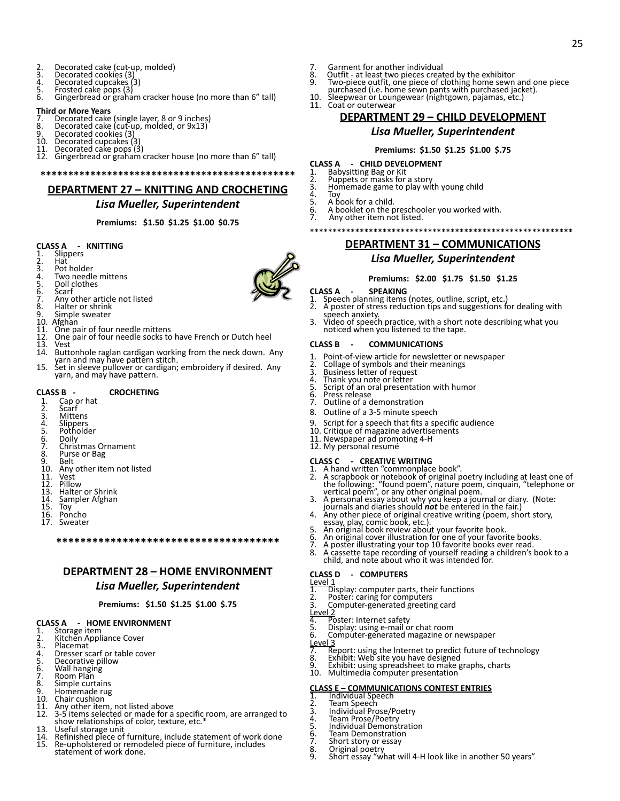- 2. Decorated cake (cut-up, molded)<br>3. Decorated cookies (3)
- 3. Decorated cookies (3)<br>4. Decorated cupcakes (
- 
- 4. Decorated cupcakes (3) 5. Frosted cake pops (3)
- 5. Frosted cake pops (3)<br>6. Gingerbread or graham cracker house (no more than 6" tall)

#### **Third or More Years**

- 7. Decorated cake (single layer, 8 or 9 inches) 8. Decorated cake (cut-up, molded, or 9x13)
- 
- 9. Decorated cookies (3)<br>9. Decorated cookies (3)
- 10. Decorated cupcakes (3)
- Decorated cake pops (3)
- 12. Gingerbread or graham cracker house (no more than 6" tall)

**\*\*\*\*\*\*\*\*\*\*\*\*\*\*\*\*\*\*\*\*\*\*\*\*\*\*\*\*\*\*\*\*\*\*\*\*\*\*\*\*\*\*\*\*\*\***

## **DEPARTMENT 27 – KNITTING AND CROCHETING**

## *Lisa Mueller, Superintendent*

**Premiums: \$1.50 \$1.25 \$1.00 \$0.75**

# **CLASS A - KNITTING**

- Slippers
- 2. Hat<br>3. Pot
- 4. Two needle mittens
- 3. Pot holder<br>4. Two needl<br>5. Doll clothe<br>6. Scarf<br>7. Any other<br>8. Halter or s<br>9. Simple swe
- Doll clothes
- Scarf
- Any other article not listed
- Halter or shrink
- 9. Simple sweater<br>10. Afghan
- 10. Afghan<br>11. One pa
- 
- 11. One pair of four needle mittens 12. One pair of four needle socks to have French or Dutch heel
- 
- 13. Vest<br>14. Butt Buttonhole raglan cardigan working from the neck down. Any yarn and may have pattern stitch. 15. Set in sleeve pullover or cardigan; embroidery if desired. Any
- yarn, and may have pattern.

# **CLASS B - CROCHETING**<br>1. Cap or hat<br>2. Scarf

- Cap or hat
- 2. Scarf<br>3. Mitte
- 3. Mittens<br>4. Slippers
- **Potholder**
- 
- 4. Slippers<br>5. Pothold<br>6. Doily<br>7. Christm<br>8. Purse of<br>9. Belt **Doily** 7. Christmas Ornament
- Purse or Bag
- 
- 9. Belt<br>10. Any 10. Any other item not listed<br>11. Vest<br>12. Pillow
- 11. Vest 12. Pillow
- 
- 13. Halter or Shrink<br>14. Sampler Afghan
- 14. Sampler Afghan<br>15. Toy
- 15. Toy<br>16. Pon
- 16. Poncho Sweater

# **\*\*\*\*\*\*\*\*\*\*\*\*\*\*\*\*\*\*\*\*\*\*\*\*\*\*\*\*\*\*\*\*\*\*\*\*\***

### **DEPARTMENT 28 – HOME ENVIRONMENT**

#### *Lisa Mueller, Superintendent*

### **Premiums: \$1.50 \$1.25 \$1.00 \$.75**

# **CLASS A - HOME ENVIRONMENT**

- Storage item 2. Kitchen Appliance Cover
- 
- 3.. Placemat<br>4. Dresser s
- 4. Dresser scarf or table cover<br>5. Decorative pillow<br>6. Wall hanging<br>7. Room Plan Decorative pillow
- 
- 6. Wall hanging 7. Room Plan
- 
- 9. Simple curtains<br>8. Simple curtains<br>9. Homemade rug
- 9. Homemade rug<br>10. Chair cushion
- 10. Chair cushion<br>11. Any other iten
- 11. Any other item, not listed above 12. 3-5 items selected or made for a specific room, are arranged to show relationships of color, texture, etc.\* 13. Useful storage unit
- 
- 14. Refinished piece of furniture, include statement of work done<br>15. Re-upholstered or remodeled piece of furniture, includes
- Re-upholstered or remodeled piece of furniture, includes statement of work done.
- 
- 7. Garment for another individual<br>8. Outfit at least two pieces creat<br>9. Two-piece outfit, one piece of c Outfit - at least two pieces created by the exhibitor
- 9. Two-piece outfit, one piece of clothing home sewn and one piece
- purchased (i.e. home sewn pants with purchased jacket). 10. Sleepwear or Loungewear (nightgown, pajamas, etc.)
- 
- 11. Coat or outerwear

### **DEPARTMENT 29 – CHILD DEVELOPMENT**

25

### *Lisa Mueller, Superintendent*

### **Premiums: \$1.50 \$1.25 \$1.00 \$.75**

- 
- 
- **CLASS A - CHILD DEVELOPMENT** 1. Babysitting Bag or Kit 2. Puppets or masks for a story
- 3. Homemade game to play with young child<br>4. Toy
- 4. Toy<br>5. A b

- 5. A book for a child.<br>6. A booklet on the p<br>7. Any other item no 6. A booklet on the preschooler you worked with. 7. Any other item not listed.
	-

# **\*\*\*\*\*\*\*\*\*\*\*\*\*\*\*\*\*\*\*\*\*\*\*\*\*\*\*\*\*\*\*\*\*\*\*\*\*\*\*\*\*\*\*\*\*\*\*\*\*\*\*\*\*\*\*\*\*\***

**DEPARTMENT 31 – COMMUNICATIONS** *Lisa Mueller, Superintendent*

#### **Premiums: \$2.00 \$1.75 \$1.50 \$1.25**

- **CLASS A - SPEAKING** 1. Speech planning items (notes, outline, script, etc.)
- 2. Specific planning terms (hotes, battine, selipt, etc.) speech anxiety.
- 3. Video of speech practice, with a short note describing what you noticed when you listened to the tape.

**CLASS C - CREATIVE WRITING**<br>
1. A hand written "commonplace book".<br>
2. A scrapbook or notebook of original poetry including at least one of<br>
the following: "found poem", nature poem, cinquain, "telephone or<br>
vertical poem

4. Ány other piece of original creative writing (poem, short story, essay, play, comic book, etc.).<br>5. An original book review about your favorite book.<br>6. An original cook review about your favorite books.<br>7. A poster ill

child, and note about who it was intended for.

6. Computer-generated magazine or newspaper

**CLASS E – COMMUNICATIONS CONTEST ENTRIES**

7. Report: using the Internet to predict future of technology 8. Exhibit: Web site you have designed 9. Exhibit: using spreadsheet to make graphs, charts 10. Multimedia computer presentation

8. Original poetry 9. Short essay "what will 4-H look like in another 50 years"

1. Display: computer parts, their functions 2. Poster: caring for computers 3. Computer-generated greeting card

5. Display: using e-mail or chat room<br>5. Display: using e-mail or chat room<br>6. Computer-generated magazine or

#### **CLASS B - COMMUNICATIONS**

- 1. Point-of-view article for newsletter or newspaper
- 2. Collage of symbols and their meanings 3. Business letter of request
- 
- 4. Thank you note or letter 5. Script of an oral presentation with humor
- 
- 6. Press release 7. Outline of a demonstration

**CLASS D - COMPUTERS**

4. Poster: Internet safety<br>5. Display: using e-mail o

1. Individual Speech<br>2. Team Speech  $\overline{2}$ . Team Speech<br>3. Individual Pro 2. Individual Prose/Poetry<br>4. Individual Prose/Poetry 3. Thannada Prose/Poetry<br>4. Team Prose/Poetry<br>5. Individual Demonst 5. Individual Demonstration<br>6. Team Demonstration<br>7. Short story or essay 6. Team Demonstration 7. Short story or essay<br>8. Original poetry<br>9. Short essay "what y

Level 1

 $Level 2$ <br>4. Po</u>

 $\frac{Level3}{7}$ 

- 8. Outline of a 3-5 minute speech
- 9. Script for a speech that fits a specific audience

10. Critique of magazine advertisements 11. Newspaper ad promoting 4-H 12. My personal resumé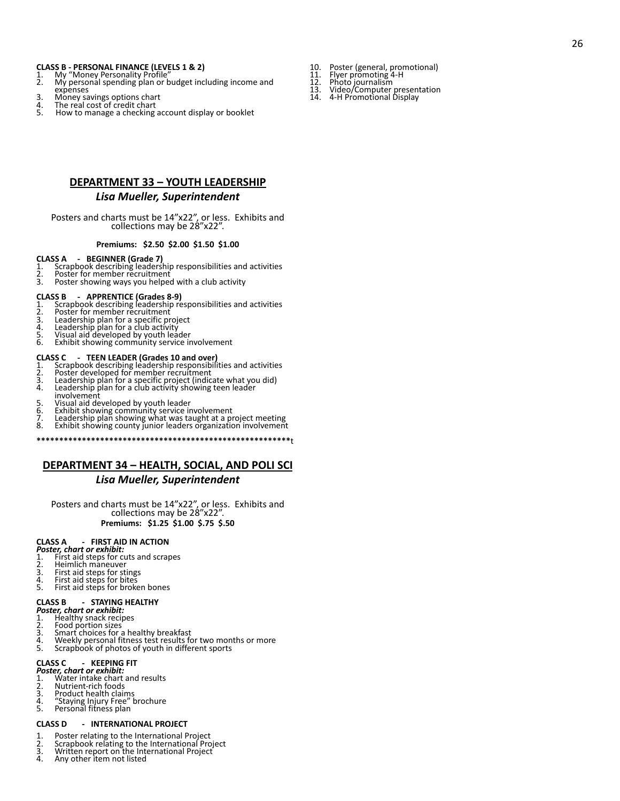- 
- **CLASS B PERSONAL FINANCE (LEVELS 1 & 2)** 1. My "Money Personality Profile" 2. My personal spending plan or budget including income and expenses
- 3. Money savings options chart<br>4. The real cost of credit chart
- 5. Wolfer awails below to mark<br>1. The real cost of credit chart<br>5. How to manage a checking account display or booklet
	- **DEPARTMENT 33 YOUTH LEADERSHIP**

### *Lisa Mueller, Superintendent*

Posters and charts must be 14"x22", or less. Exhibits and collections may be 28"x22".

#### **Premiums: \$2.50 \$2.00 \$1.50 \$1.00**

#### **CLASS A - BEGINNER (Grade 7)**

- 1. Scrapbook describing leadership responsibilities and activities<br>2. Poster for member recruitment
- 2. Poster for member recruitment<br>3. Poster showing ways you helped
- Poster showing ways you helped with a club activity

- **CLASS B - APPRENTICE (Grades 8-9)** 1. Scrapbook describing leadership responsibilities and activities
- 2. Poster for member recruitment<br>3. Leadership plan for a specific pr
- 3. Leadership plan for a specific project 4. Leadership plan for a club activity
- 
- 5. Visual aid developed by youth leader 6. Exhibit showing community service involvement
- 

- **CLASS C - TEEN LEADER (Grades 10 and over)** 1. Scrapbook describing leadership responsibilities and activities<br>2. Poster developed for member recruitment
- 2. Poster developed for member recruitment<br>3. Leadership plan for a specific project (indic:
- 3. Leadership plan for a specific project (indicate what you did) 4. Leadership plan for a club activity showing teen leader involvement
- 
- 5. Visual aid developed by youth leader<br>6. Exhibit showing community service in
- 6. Exhibit showing community service involvement
- 7. Leadership plan showing what was taught at a project meeting 8. Exhibit showing county junior leaders organization involvement
- **\*\*\*\*\*\*\*\*\*\*\*\*\*\*\*\*\*\*\*\*\*\*\*\*\*\*\*\*\*\*\*\*\*\*\*\*\*\*\*\*\*\*\*\*\*\*\*\*\*\*\*\*\*\*\*\***t

## **DEPARTMENT 34 – HEALTH, SOCIAL, AND POLI SCI**

### *Lisa Mueller, Superintendent*

Posters and charts must be 14"x22", or less. Exhibits and collections may be 28"x22". **Premiums: \$1.25 \$1.00 \$.75 \$.50**

### **CLASS A - FIRST AID IN ACTION**

*Poster, chart or exhibit:*

- 1. First aid steps for cuts and scrapes<br>2. Heimlich maneuver
- 2. Heimlich maneuver<br>3. First aid stens for sti
- 3. First aid steps for stings 4. First aid steps for bites
- 5. First aid steps for broken bones

# **CLASS B - STAYING HEALTHY**

- *Poster, chart or exhibit:*
- 1. Healthy snack recipes<br>2. Food portion sizes
- 2. Food portion sizes<br>3. Smart choices for a
- 3. Smart choices for a healthy breakfast<br>4. Weekly personal fitness test results fo 4. Weekly personal fitness test results for two months or more<br>5. Scrapbook of photos of youth in different sports
- Scrapbook of photos of youth in different sports

#### **CLASS C - KEEPING FIT**

- *Poster, chart or exhibit:*
- 1. Water intake chart and results 2. Nutrient-rich foods
- 
- 3. Product health claims<br>4. "Staying Injury Free"
- 4. "Staying Injury Free" brochure<br>5. Personal fitness plan Personal fitness plan

#### **CLASS D - INTERNATIONAL PROJECT**

- 
- 1. Poster relating to the International Project<br>2. Scrapbook relating to the International Pro<br>3. Written report on the International Project 2. Scrapbook relating to the International Project<br>3. Mritten report on the International Project
- 
- 4. Any other item not listed
- 10. Poster (general, promotional) 11. Flyer promoting 4-H
	-
- 
- 12. Photo journalism 13. Video/Computer presentation 14. 4-H Promotional Display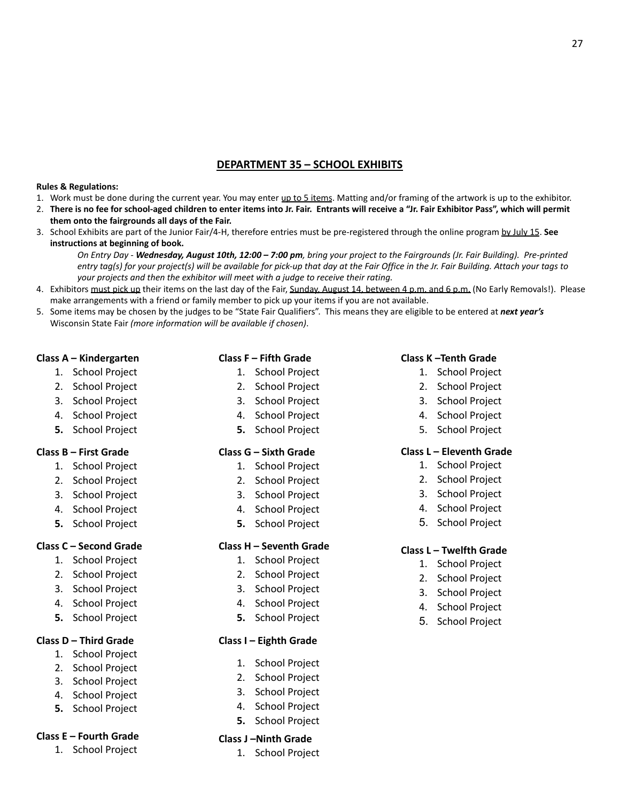# **DEPARTMENT 35 – SCHOOL EXHIBITS**

## **Rules & Regulations:**

- 1. Work must be done during the current year. You may enter up to 5 items. Matting and/or framing of the artwork is up to the exhibitor.
- 2. There is no fee for school-aged children to enter items into Jr. Fair. Entrants will receive a "Jr. Fair Exhibitor Pass", which will permit **them onto the fairgrounds all days of the Fair.**
- 3. School Exhibits are part of the Junior Fair/4-H, therefore entries must be pre-registered through the online program by July 15. **See instructions at beginning of book.**

On Entry Day - Wednesday, August 10th, 12:00 - 7:00 pm, bring your project to the Fairgrounds (Jr. Fair Building). Pre-printed entry tag(s) for your project(s) will be available for pick-up that day at the Fair Office in the Jr. Fair Building. Attach your tags to *your projects and then the exhibitor will meet with a judge to receive their rating.*

- 4. Exhibitors must pick up their items on the last day of the Fair, Sunday, August 14, between 4 p.m. and 6 p.m. (No Early Removals!). Please make arrangements with a friend or family member to pick up your items if you are not available.
- 5. Some items may be chosen by the judges to be "State Fair Qualifiers". This means they are eligible to be entered at *next year's* Wisconsin State Fair *(more information will be available if chosen)*.

## **Class A – Kindergarten**

- 1. School Project
- 2. School Project
- 3. School Project
- 4. School Project
- **5.** School Project

# **Class B – First Grade**

- 1. School Project
- 2. School Project
- 3. School Project
- 4. School Project
- **5.** School Project

# **Class C – Second Grade**

- 1. School Project
- 2. School Project
- 3. School Project
- 4. School Project
- **5.** School Project

# **Class D – Third Grade**

- 1. School Project
- 2. School Project
- 3. School Project
- 4. School Project
- **5.** School Project

# **Class E – Fourth Grade**

1. School Project

# **Class F – Fifth Grade**

- 1. School Project
- 2. School Project
- 3. School Project
- 4. School Project
- **5.** School Project

## **Class G – Sixth Grade**

- 1. School Project
- 2. School Project
- 3. School Project
- 4. School Project
- **5.** School Project

## **Class H – Seventh Grade**

- 1. School Project
- 2. School Project
- 3. School Project
- 4. School Project
- **5.** School Project

# **Class I – Eighth Grade**

- 1. School Project
- 2. School Project
- 3. School Project
- 4. School Project
- **5.** School Project

# **Class J –Ninth Grade**

1. School Project

# **Class K –Tenth Grade**

- 1. School Project
- 2. School Project
- 3. School Project
- 4. School Project
- 5. School Project

## **Class L – Eleventh Grade**

- 1. School Project
- 2. School Project
- 3. School Project
- 4. School Project
- 5. School Project

## **Class L – Twelfth Grade**

- 1. School Project
- 2. School Project
- 3. School Project
- 4. School Project
- 5. School Project